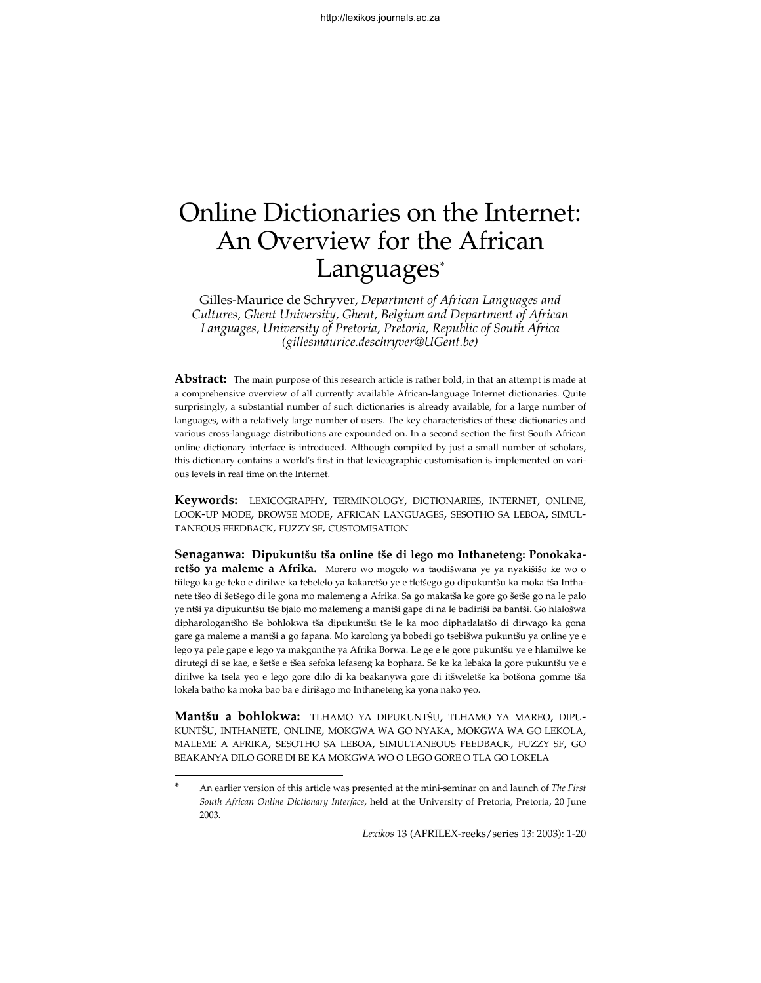# Online Dictionaries on the Internet: An Overview for the African Languages\*

Gilles-Maurice de Schryver, *Department of African Languages and Cultures, Ghent University, Ghent, Belgium and Department of African Languages, University of Pretoria, Pretoria, Republic of South Africa (gillesmaurice.deschryver@UGent.be)*

**Abstract:** The main purpose of this research article is rather bold, in that an attempt is made at a comprehensive overview of all currently available African-language Internet dictionaries. Quite surprisingly, a substantial number of such dictionaries is already available, for a large number of languages, with a relatively large number of users. The key characteristics of these dictionaries and various cross-language distributions are expounded on. In a second section the first South African online dictionary interface is introduced. Although compiled by just a small number of scholars, this dictionary contains a world's first in that lexicographic customisation is implemented on various levels in real time on the Internet.

**Keywords:** LEXICOGRAPHY, TERMINOLOGY, DICTIONARIES, INTERNET, ONLINE, LOOK-UP MODE, BROWSE MODE, AFRICAN LANGUAGES, SESOTHO SA LEBOA, SIMUL-TANEOUS FEEDBACK, FUZZY SF, CUSTOMISATION

**Senaganwa: Dipukuntšu tša online tše di lego mo Inthaneteng: Ponokakaretšo ya maleme a Afrika.** Morero wo mogolo wa taodišwana ye ya nyakišišo ke wo o tiilego ka ge teko e dirilwe ka tebelelo ya kakaretšo ye e tletšego go dipukuntšu ka moka tša Inthanete tšeo di šetšego di le gona mo malemeng a Afrika. Sa go makatša ke gore go šetše go na le palo ye ntši ya dipukuntšu tše bjalo mo malemeng a mantši gape di na le badiriši ba bantši. Go hlalošwa dipharologantšho tše bohlokwa tša dipukuntšu tše le ka moo diphatlalatšo di dirwago ka gona gare ga maleme a mantši a go fapana. Mo karolong ya bobedi go tsebišwa pukuntšu ya online ye e lego ya pele gape e lego ya makgonthe ya Afrika Borwa. Le ge e le gore pukuntšu ye e hlamilwe ke dirutegi di se kae, e šetše e tšea sefoka lefaseng ka bophara. Se ke ka lebaka la gore pukuntšu ye e dirilwe ka tsela yeo e lego gore dilo di ka beakanywa gore di itšweletše ka botšona gomme tša lokela batho ka moka bao ba e dirišago mo Inthaneteng ka yona nako yeo.

**Mantšu a bohlokwa:** TLHAMO YA DIPUKUNTŠU, TLHAMO YA MAREO, DIPU-KUNTŠU, INTHANETE, ONLINE, MOKGWA WA GO NYAKA, MOKGWA WA GO LEKOLA, MALEME A AFRIKA, SESOTHO SA LEBOA, SIMULTANEOUS FEEDBACK, FUZZY SF, GO BEAKANYA DILO GORE DI BE KA MOKGWA WO O LEGO GORE O TLA GO LOKELA

l

<sup>\*</sup> An earlier version of this article was presented at the mini-seminar on and launch of *The First South African Online Dictionary Interface*, held at the University of Pretoria, Pretoria, 20 June 2003.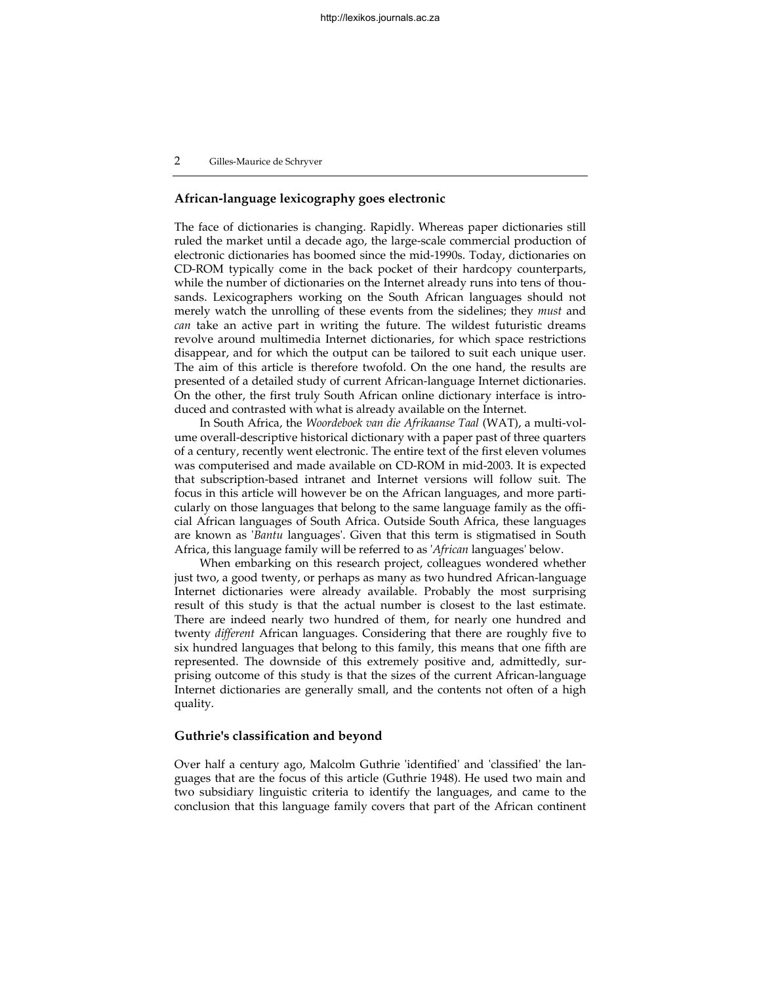# **African-language lexicography goes electronic**

The face of dictionaries is changing. Rapidly. Whereas paper dictionaries still ruled the market until a decade ago, the large-scale commercial production of electronic dictionaries has boomed since the mid-1990s. Today, dictionaries on CD-ROM typically come in the back pocket of their hardcopy counterparts, while the number of dictionaries on the Internet already runs into tens of thousands. Lexicographers working on the South African languages should not merely watch the unrolling of these events from the sidelines; they *must* and *can* take an active part in writing the future. The wildest futuristic dreams revolve around multimedia Internet dictionaries, for which space restrictions disappear, and for which the output can be tailored to suit each unique user. The aim of this article is therefore twofold. On the one hand, the results are presented of a detailed study of current African-language Internet dictionaries. On the other, the first truly South African online dictionary interface is introduced and contrasted with what is already available on the Internet.

In South Africa, the *Woordeboek van die Afrikaanse Taal* (WAT), a multi-volume overall-descriptive historical dictionary with a paper past of three quarters of a century, recently went electronic. The entire text of the first eleven volumes was computerised and made available on CD-ROM in mid-2003. It is expected that subscription-based intranet and Internet versions will follow suit. The focus in this article will however be on the African languages, and more particularly on those languages that belong to the same language family as the official African languages of South Africa. Outside South Africa, these languages are known as '*Bantu* languages'. Given that this term is stigmatised in South Africa, this language family will be referred to as '*African* languages' below.

When embarking on this research project, colleagues wondered whether just two, a good twenty, or perhaps as many as two hundred African-language Internet dictionaries were already available. Probably the most surprising result of this study is that the actual number is closest to the last estimate. There are indeed nearly two hundred of them, for nearly one hundred and twenty *different* African languages. Considering that there are roughly five to six hundred languages that belong to this family, this means that one fifth are represented. The downside of this extremely positive and, admittedly, surprising outcome of this study is that the sizes of the current African-language Internet dictionaries are generally small, and the contents not often of a high quality.

# **Guthrie's classification and beyond**

Over half a century ago, Malcolm Guthrie 'identified' and 'classified' the languages that are the focus of this article (Guthrie 1948). He used two main and two subsidiary linguistic criteria to identify the languages, and came to the conclusion that this language family covers that part of the African continent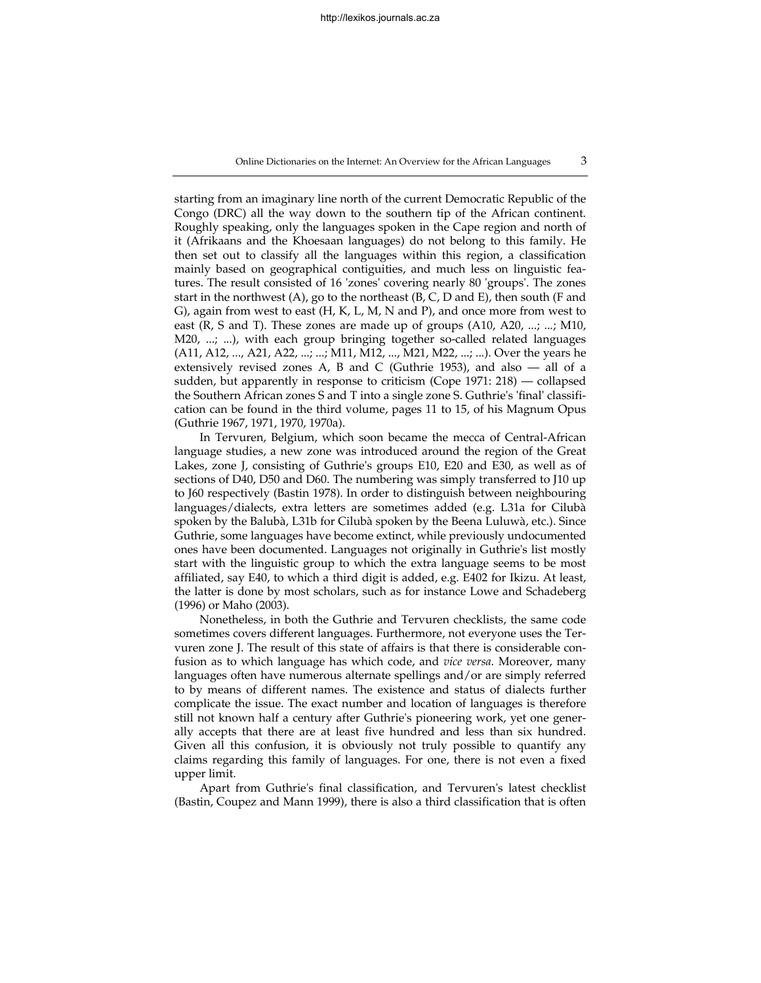Online Dictionaries on the Internet: An Overview for the African Languages 3

starting from an imaginary line north of the current Democratic Republic of the Congo (DRC) all the way down to the southern tip of the African continent. Roughly speaking, only the languages spoken in the Cape region and north of it (Afrikaans and the Khoesaan languages) do not belong to this family. He then set out to classify all the languages within this region, a classification mainly based on geographical contiguities, and much less on linguistic features. The result consisted of 16 'zones' covering nearly 80 'groups'. The zones start in the northwest (A), go to the northeast (B, C, D and E), then south (F and G), again from west to east (H, K, L, M, N and P), and once more from west to east (R, S and T). These zones are made up of groups (A10, A20, ...; ...; M10, M20, ...; ...), with each group bringing together so-called related languages (A11, A12, ..., A21, A22, ...; ...; M11, M12, ..., M21, M22, ...; ...). Over the years he extensively revised zones A, B and C (Guthrie 1953), and also — all of a sudden, but apparently in response to criticism (Cope 1971: 218) — collapsed the Southern African zones S and T into a single zone S. Guthrie's 'final' classification can be found in the third volume, pages 11 to 15, of his Magnum Opus (Guthrie 1967, 1971, 1970, 1970a).

In Tervuren, Belgium, which soon became the mecca of Central-African language studies, a new zone was introduced around the region of the Great Lakes, zone J, consisting of Guthrie's groups E10, E20 and E30, as well as of sections of D40, D50 and D60. The numbering was simply transferred to J10 up to J60 respectively (Bastin 1978). In order to distinguish between neighbouring languages/dialects, extra letters are sometimes added (e.g. L31a for Cilubà spoken by the Balubà, L31b for Cilubà spoken by the Beena Luluwà, etc.). Since Guthrie, some languages have become extinct, while previously undocumented ones have been documented. Languages not originally in Guthrie's list mostly start with the linguistic group to which the extra language seems to be most affiliated, say E40, to which a third digit is added, e.g. E402 for Ikizu. At least, the latter is done by most scholars, such as for instance Lowe and Schadeberg (1996) or Maho (2003).

Nonetheless, in both the Guthrie and Tervuren checklists, the same code sometimes covers different languages. Furthermore, not everyone uses the Tervuren zone J. The result of this state of affairs is that there is considerable confusion as to which language has which code, and *vice versa*. Moreover, many languages often have numerous alternate spellings and/or are simply referred to by means of different names. The existence and status of dialects further complicate the issue. The exact number and location of languages is therefore still not known half a century after Guthrie's pioneering work, yet one generally accepts that there are at least five hundred and less than six hundred. Given all this confusion, it is obviously not truly possible to quantify any claims regarding this family of languages. For one, there is not even a fixed upper limit.

Apart from Guthrie's final classification, and Tervuren's latest checklist (Bastin, Coupez and Mann 1999), there is also a third classification that is often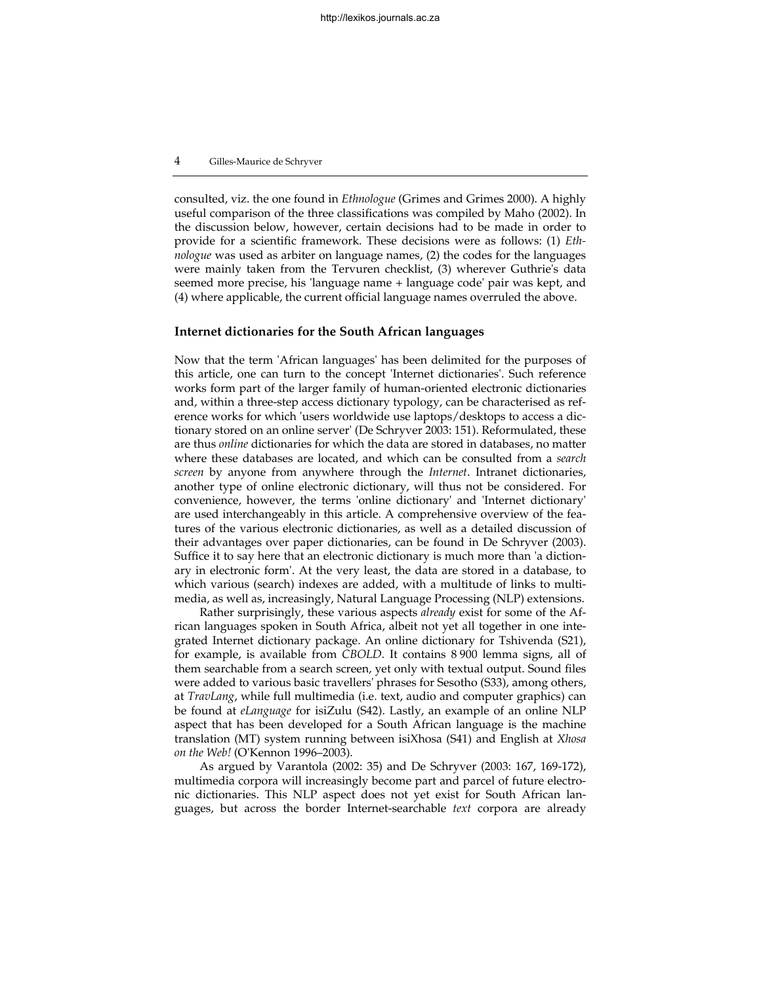consulted, viz. the one found in *Ethnologue* (Grimes and Grimes 2000). A highly useful comparison of the three classifications was compiled by Maho (2002). In the discussion below, however, certain decisions had to be made in order to provide for a scientific framework. These decisions were as follows: (1) *Ethnologue* was used as arbiter on language names, (2) the codes for the languages were mainly taken from the Tervuren checklist, (3) wherever Guthrie's data seemed more precise, his 'language name + language code' pair was kept, and (4) where applicable, the current official language names overruled the above.

# **Internet dictionaries for the South African languages**

Now that the term 'African languages' has been delimited for the purposes of this article, one can turn to the concept 'Internet dictionaries'. Such reference works form part of the larger family of human-oriented electronic dictionaries and, within a three-step access dictionary typology, can be characterised as reference works for which 'users worldwide use laptops/desktops to access a dictionary stored on an online server' (De Schryver 2003: 151). Reformulated, these are thus *online* dictionaries for which the data are stored in databases, no matter where these databases are located, and which can be consulted from a *search screen* by anyone from anywhere through the *Internet*. Intranet dictionaries, another type of online electronic dictionary, will thus not be considered. For convenience, however, the terms 'online dictionary' and 'Internet dictionary' are used interchangeably in this article. A comprehensive overview of the features of the various electronic dictionaries, as well as a detailed discussion of their advantages over paper dictionaries, can be found in De Schryver (2003). Suffice it to say here that an electronic dictionary is much more than 'a dictionary in electronic form'. At the very least, the data are stored in a database, to which various (search) indexes are added, with a multitude of links to multimedia, as well as, increasingly, Natural Language Processing (NLP) extensions.

Rather surprisingly, these various aspects *already* exist for some of the African languages spoken in South Africa, albeit not yet all together in one integrated Internet dictionary package. An online dictionary for Tshivenda (S21), for example, is available from *CBOLD*. It contains 8 900 lemma signs, all of them searchable from a search screen, yet only with textual output. Sound files were added to various basic travellers' phrases for Sesotho (S33), among others, at *TravLang*, while full multimedia (i.e. text, audio and computer graphics) can be found at *eLanguage* for isiZulu (S42). Lastly, an example of an online NLP aspect that has been developed for a South African language is the machine translation (MT) system running between isiXhosa (S41) and English at *Xhosa on the Web!* (O'Kennon 1996–2003).

As argued by Varantola (2002: 35) and De Schryver (2003: 167, 169-172), multimedia corpora will increasingly become part and parcel of future electronic dictionaries. This NLP aspect does not yet exist for South African languages, but across the border Internet-searchable *text* corpora are already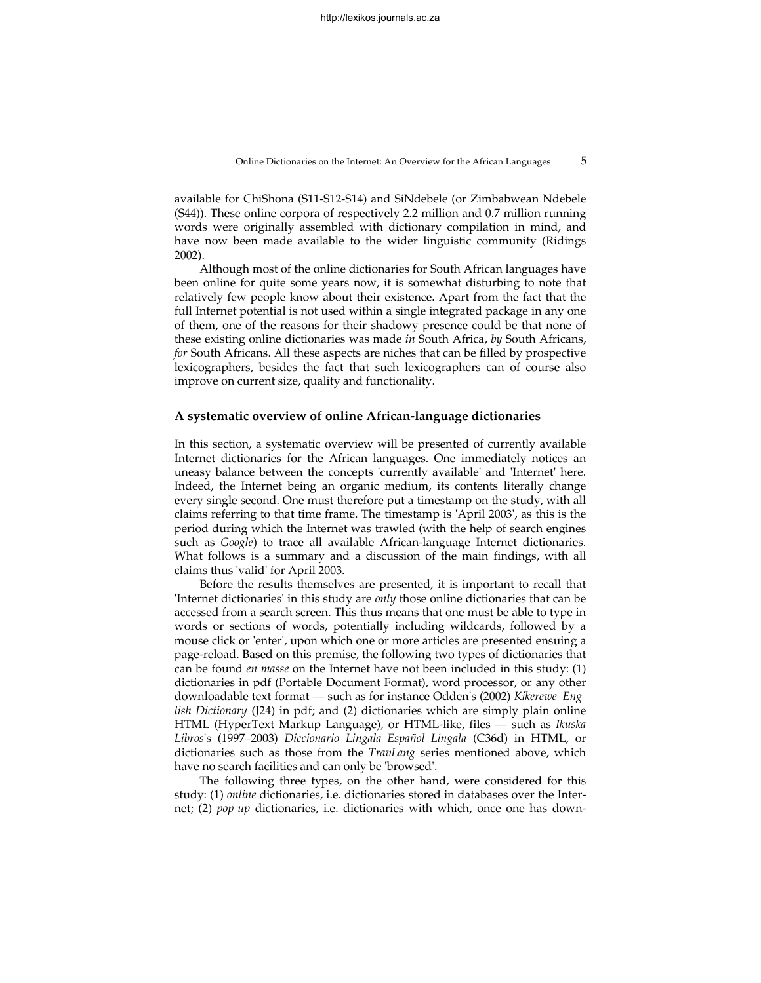Online Dictionaries on the Internet: An Overview for the African Languages 5

available for ChiShona (S11-S12-S14) and SiNdebele (or Zimbabwean Ndebele (S44)). These online corpora of respectively 2.2 million and 0.7 million running words were originally assembled with dictionary compilation in mind, and have now been made available to the wider linguistic community (Ridings 2002).

Although most of the online dictionaries for South African languages have been online for quite some years now, it is somewhat disturbing to note that relatively few people know about their existence. Apart from the fact that the full Internet potential is not used within a single integrated package in any one of them, one of the reasons for their shadowy presence could be that none of these existing online dictionaries was made *in* South Africa, *by* South Africans, *for* South Africans. All these aspects are niches that can be filled by prospective lexicographers, besides the fact that such lexicographers can of course also improve on current size, quality and functionality.

## **A systematic overview of online African-language dictionaries**

In this section, a systematic overview will be presented of currently available Internet dictionaries for the African languages. One immediately notices an uneasy balance between the concepts 'currently available' and 'Internet' here. Indeed, the Internet being an organic medium, its contents literally change every single second. One must therefore put a timestamp on the study, with all claims referring to that time frame. The timestamp is 'April 2003', as this is the period during which the Internet was trawled (with the help of search engines such as *Google*) to trace all available African-language Internet dictionaries. What follows is a summary and a discussion of the main findings, with all claims thus 'valid' for April 2003.

Before the results themselves are presented, it is important to recall that 'Internet dictionaries' in this study are *only* those online dictionaries that can be accessed from a search screen. This thus means that one must be able to type in words or sections of words, potentially including wildcards, followed by a mouse click or 'enter', upon which one or more articles are presented ensuing a page-reload. Based on this premise, the following two types of dictionaries that can be found *en masse* on the Internet have not been included in this study: (1) dictionaries in pdf (Portable Document Format), word processor, or any other downloadable text format — such as for instance Odden's (2002) *Kikerewe–English Dictionary* (J24) in pdf; and (2) dictionaries which are simply plain online HTML (HyperText Markup Language), or HTML-like, files — such as *Ikuska Libros*'s (1997–2003) *Diccionario Lingala–Español–Lingala* (C36d) in HTML, or dictionaries such as those from the *TravLang* series mentioned above, which have no search facilities and can only be 'browsed'.

The following three types, on the other hand, were considered for this study: (1) *online* dictionaries, i.e. dictionaries stored in databases over the Internet; (2) *pop-up* dictionaries, i.e. dictionaries with which, once one has down-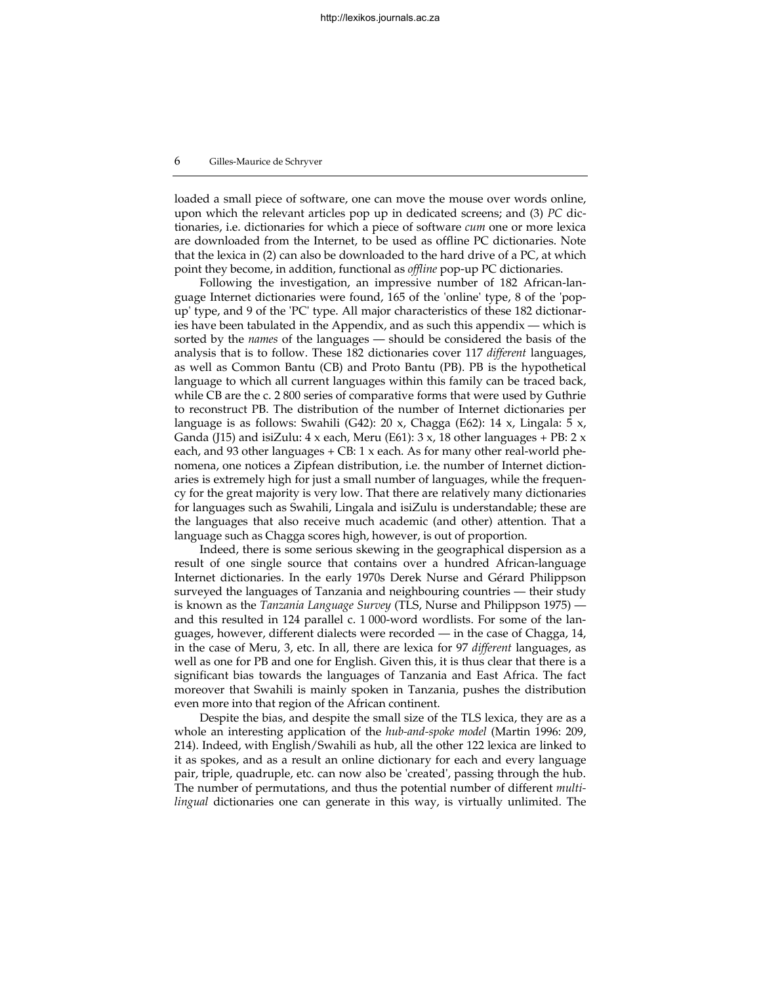loaded a small piece of software, one can move the mouse over words online, upon which the relevant articles pop up in dedicated screens; and (3) *PC* dictionaries, i.e. dictionaries for which a piece of software *cum* one or more lexica are downloaded from the Internet, to be used as offline PC dictionaries. Note that the lexica in (2) can also be downloaded to the hard drive of a PC, at which point they become, in addition, functional as *offline* pop-up PC dictionaries.

Following the investigation, an impressive number of 182 African-language Internet dictionaries were found, 165 of the 'online' type, 8 of the 'popup' type, and 9 of the 'PC' type. All major characteristics of these 182 dictionaries have been tabulated in the Appendix, and as such this appendix — which is sorted by the *names* of the languages — should be considered the basis of the analysis that is to follow. These 182 dictionaries cover 117 *different* languages, as well as Common Bantu (CB) and Proto Bantu (PB). PB is the hypothetical language to which all current languages within this family can be traced back, while CB are the c. 2 800 series of comparative forms that were used by Guthrie to reconstruct PB. The distribution of the number of Internet dictionaries per language is as follows: Swahili (G42): 20 x, Chagga (E62): 14 x, Lingala: 5 x, Ganda (J15) and isiZulu:  $4 \times$  each, Meru (E61):  $3 \times$ , 18 other languages + PB:  $2 \times$ each, and 93 other languages  $+$  CB: 1  $\times$  each. As for many other real-world phenomena, one notices a Zipfean distribution, i.e. the number of Internet dictionaries is extremely high for just a small number of languages, while the frequency for the great majority is very low. That there are relatively many dictionaries for languages such as Swahili, Lingala and isiZulu is understandable; these are the languages that also receive much academic (and other) attention. That a language such as Chagga scores high, however, is out of proportion.

Indeed, there is some serious skewing in the geographical dispersion as a result of one single source that contains over a hundred African-language Internet dictionaries. In the early 1970s Derek Nurse and Gérard Philippson surveyed the languages of Tanzania and neighbouring countries — their study is known as the *Tanzania Language Survey* (TLS, Nurse and Philippson 1975) and this resulted in 124 parallel c. 1 000-word wordlists. For some of the languages, however, different dialects were recorded — in the case of Chagga, 14, in the case of Meru, 3, etc. In all, there are lexica for 97 *different* languages, as well as one for PB and one for English. Given this, it is thus clear that there is a significant bias towards the languages of Tanzania and East Africa. The fact moreover that Swahili is mainly spoken in Tanzania, pushes the distribution even more into that region of the African continent.

Despite the bias, and despite the small size of the TLS lexica, they are as a whole an interesting application of the *hub-and-spoke model* (Martin 1996: 209, 214). Indeed, with English/Swahili as hub, all the other 122 lexica are linked to it as spokes, and as a result an online dictionary for each and every language pair, triple, quadruple, etc. can now also be 'created', passing through the hub. The number of permutations, and thus the potential number of different *multilingual* dictionaries one can generate in this way, is virtually unlimited. The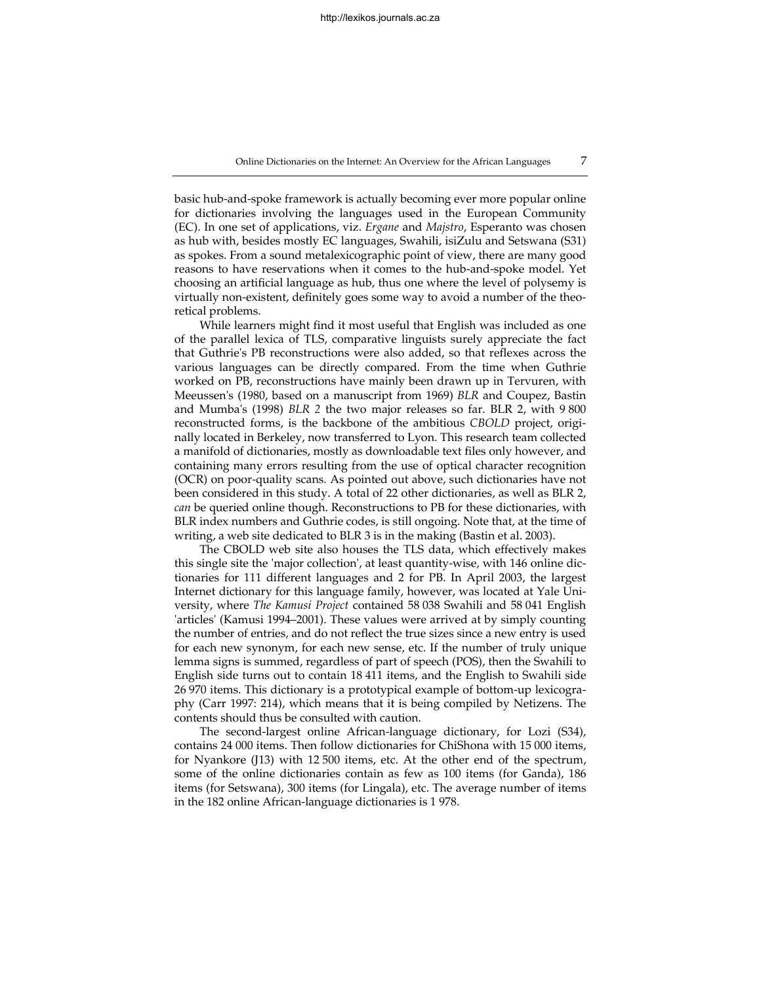Online Dictionaries on the Internet: An Overview for the African Languages 7

basic hub-and-spoke framework is actually becoming ever more popular online for dictionaries involving the languages used in the European Community (EC). In one set of applications, viz. *Ergane* and *Majstro*, Esperanto was chosen as hub with, besides mostly EC languages, Swahili, isiZulu and Setswana (S31) as spokes. From a sound metalexicographic point of view, there are many good reasons to have reservations when it comes to the hub-and-spoke model. Yet choosing an artificial language as hub, thus one where the level of polysemy is virtually non-existent, definitely goes some way to avoid a number of the theoretical problems.

While learners might find it most useful that English was included as one of the parallel lexica of TLS, comparative linguists surely appreciate the fact that Guthrie's PB reconstructions were also added, so that reflexes across the various languages can be directly compared. From the time when Guthrie worked on PB, reconstructions have mainly been drawn up in Tervuren, with Meeussen's (1980, based on a manuscript from 1969) *BLR* and Coupez, Bastin and Mumba's (1998) *BLR 2* the two major releases so far. BLR 2, with 9 800 reconstructed forms, is the backbone of the ambitious *CBOLD* project, originally located in Berkeley, now transferred to Lyon. This research team collected a manifold of dictionaries, mostly as downloadable text files only however, and containing many errors resulting from the use of optical character recognition (OCR) on poor-quality scans. As pointed out above, such dictionaries have not been considered in this study. A total of 22 other dictionaries, as well as BLR 2, *can* be queried online though. Reconstructions to PB for these dictionaries, with BLR index numbers and Guthrie codes, is still ongoing. Note that, at the time of writing, a web site dedicated to BLR 3 is in the making (Bastin et al. 2003).

The CBOLD web site also houses the TLS data, which effectively makes this single site the 'major collection', at least quantity-wise, with 146 online dictionaries for 111 different languages and 2 for PB. In April 2003, the largest Internet dictionary for this language family, however, was located at Yale University, where *The Kamusi Project* contained 58 038 Swahili and 58 041 English 'articles' (Kamusi 1994–2001). These values were arrived at by simply counting the number of entries, and do not reflect the true sizes since a new entry is used for each new synonym, for each new sense, etc. If the number of truly unique lemma signs is summed, regardless of part of speech (POS), then the Swahili to English side turns out to contain 18 411 items, and the English to Swahili side 26 970 items. This dictionary is a prototypical example of bottom-up lexicography (Carr 1997: 214), which means that it is being compiled by Netizens. The contents should thus be consulted with caution.

The second-largest online African-language dictionary, for Lozi (S34), contains 24 000 items. Then follow dictionaries for ChiShona with 15 000 items, for Nyankore (J13) with 12 500 items, etc. At the other end of the spectrum, some of the online dictionaries contain as few as 100 items (for Ganda), 186 items (for Setswana), 300 items (for Lingala), etc. The average number of items in the 182 online African-language dictionaries is 1 978.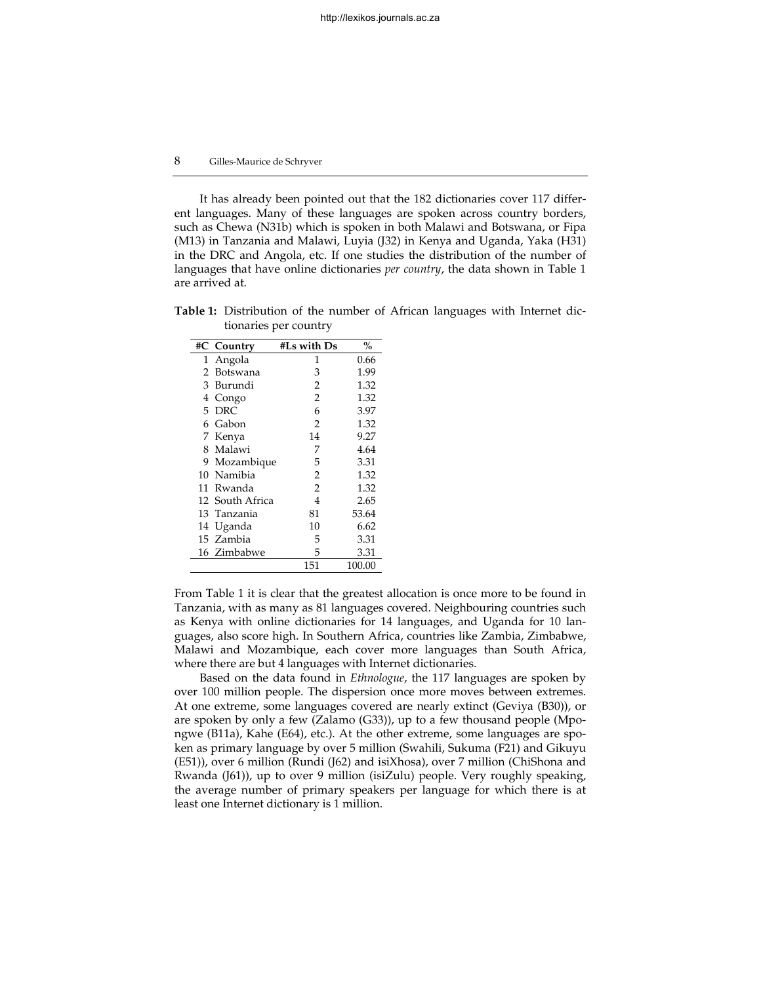It has already been pointed out that the 182 dictionaries cover 117 different languages. Many of these languages are spoken across country borders, such as Chewa (N31b) which is spoken in both Malawi and Botswana, or Fipa (M13) in Tanzania and Malawi, Luyia (J32) in Kenya and Uganda, Yaka (H31) in the DRC and Angola, etc. If one studies the distribution of the number of languages that have online dictionaries *per country*, the data shown in Table 1 are arrived at.

**Table 1:** Distribution of the number of African languages with Internet dictionaries per country

|    | #C Country      | #Ls with Ds    | $\%$   |
|----|-----------------|----------------|--------|
| 1  | Angola          | 1              | 0.66   |
| 2  | Botswana        | 3              | 1.99   |
| 3  | Burundi         | 2              | 1.32   |
| 4  | Congo           | 2              | 1.32   |
| 5. | DRC.            | 6              | 3.97   |
| 6. | Gabon           | 2              | 1.32   |
|    | 7 Kenya         | 14             | 9.27   |
| 8. | Malawi          | 7              | 4.64   |
| 9  | Mozambique      | 5              | 3.31   |
| 10 | Namibia         | 2              | 1.32   |
|    | 11 Rwanda       | $\overline{2}$ | 1.32   |
|    | 12 South Africa | 4              | 2.65   |
|    | 13 Tanzania     | 81             | 53.64  |
| 14 | Uganda          | 10             | 6.62   |
|    | 15 Zambia       | 5              | 3.31   |
|    | 16 Zimbabwe     | 5              | 3.31   |
|    |                 | 151            | 100.00 |

From Table 1 it is clear that the greatest allocation is once more to be found in Tanzania, with as many as 81 languages covered. Neighbouring countries such as Kenya with online dictionaries for 14 languages, and Uganda for 10 languages, also score high. In Southern Africa, countries like Zambia, Zimbabwe, Malawi and Mozambique, each cover more languages than South Africa, where there are but 4 languages with Internet dictionaries.

Based on the data found in *Ethnologue*, the 117 languages are spoken by over 100 million people. The dispersion once more moves between extremes. At one extreme, some languages covered are nearly extinct (Geviya (B30)), or are spoken by only a few (Zalamo (G33)), up to a few thousand people (Mpongwe (B11a), Kahe (E64), etc.). At the other extreme, some languages are spoken as primary language by over 5 million (Swahili, Sukuma (F21) and Gikuyu (E51)), over 6 million (Rundi (J62) and isiXhosa), over 7 million (ChiShona and Rwanda (J61)), up to over 9 million (isiZulu) people. Very roughly speaking, the average number of primary speakers per language for which there is at least one Internet dictionary is 1 million.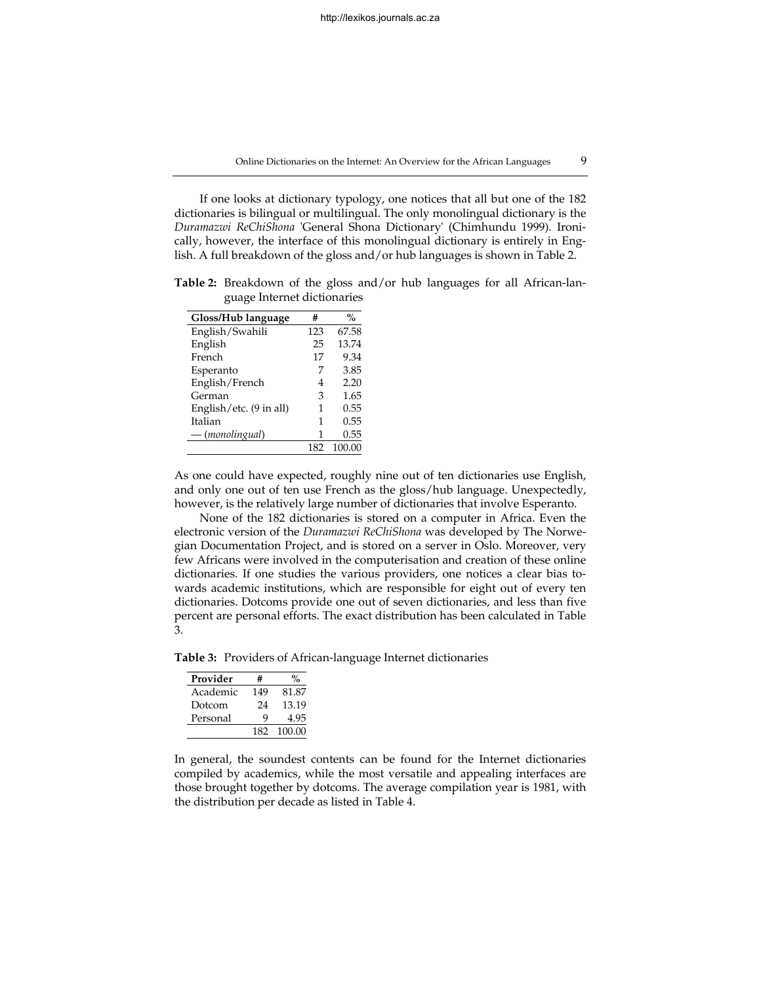If one looks at dictionary typology, one notices that all but one of the 182 dictionaries is bilingual or multilingual. The only monolingual dictionary is the *Duramazwi ReChiShona* 'General Shona Dictionary' (Chimhundu 1999). Ironically, however, the interface of this monolingual dictionary is entirely in English. A full breakdown of the gloss and/or hub languages is shown in Table 2.

**Table 2:** Breakdown of the gloss and/or hub languages for all African-language Internet dictionaries

| Gloss/Hub language                | #   | %      |
|-----------------------------------|-----|--------|
| English/Swahili                   | 123 | 67.58  |
| English                           | 25  | 13.74  |
| French                            | 17  | 9.34   |
| Esperanto                         | 7   | 3.85   |
| English/French                    | 4   | 2.20   |
| German                            | 3   | 1.65   |
| English/etc. $(9 \text{ in all})$ | 1   | 0.55   |
| Italian                           | 1   | 0.55   |
| — (monolingual)                   | 1   | 0.55   |
|                                   | 182 | 100.00 |

As one could have expected, roughly nine out of ten dictionaries use English, and only one out of ten use French as the gloss/hub language. Unexpectedly, however, is the relatively large number of dictionaries that involve Esperanto.

None of the 182 dictionaries is stored on a computer in Africa. Even the electronic version of the *Duramazwi ReChiShona* was developed by The Norwegian Documentation Project, and is stored on a server in Oslo. Moreover, very few Africans were involved in the computerisation and creation of these online dictionaries. If one studies the various providers, one notices a clear bias towards academic institutions, which are responsible for eight out of every ten dictionaries. Dotcoms provide one out of seven dictionaries, and less than five percent are personal efforts. The exact distribution has been calculated in Table 3.

**Table 3:** Providers of African-language Internet dictionaries

| Provider | #   |        |
|----------|-----|--------|
| Academic | 149 | 81.87  |
| Dotcom   | 24  | 13.19  |
| Personal | Q   | 4.95   |
|          | 182 | 100.00 |

In general, the soundest contents can be found for the Internet dictionaries compiled by academics, while the most versatile and appealing interfaces are those brought together by dotcoms. The average compilation year is 1981, with the distribution per decade as listed in Table 4.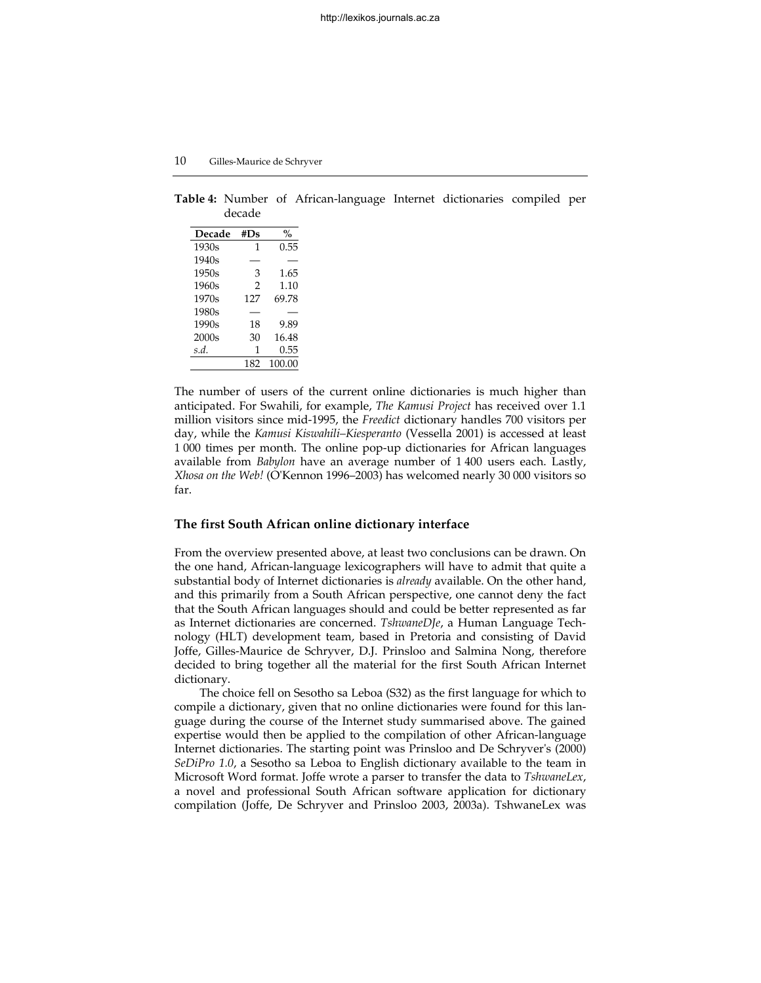**Table 4:** Number of African-language Internet dictionaries compiled per decade

| Decade            | #Ds            | $\frac{0}{0}$ |
|-------------------|----------------|---------------|
| 1930s             | $\mathbf{1}$   | 0.55          |
| 1940s             |                |               |
| 1950s             | 3              | 1.65          |
| 1960s             | $\mathfrak{D}$ | 1.10          |
| 1970s             | 127            | 69.78         |
| 1980s             |                |               |
| 1990s             | 18             | 9.89          |
| 2000 <sub>s</sub> | 30             | 16.48         |
| s.d.              | 1              | 0.55          |
|                   | 182            | 100.00        |

The number of users of the current online dictionaries is much higher than anticipated. For Swahili, for example, *The Kamusi Project* has received over 1.1 million visitors since mid-1995, the *Freedict* dictionary handles 700 visitors per day, while the *Kamusi Kiswahili–Kiesperanto* (Vessella 2001) is accessed at least 1 000 times per month. The online pop-up dictionaries for African languages available from *Babylon* have an average number of 1 400 users each. Lastly, *Xhosa on the Web!* (O'Kennon 1996–2003) has welcomed nearly 30 000 visitors so far.

# **The first South African online dictionary interface**

From the overview presented above, at least two conclusions can be drawn. On the one hand, African-language lexicographers will have to admit that quite a substantial body of Internet dictionaries is *already* available. On the other hand, and this primarily from a South African perspective, one cannot deny the fact that the South African languages should and could be better represented as far as Internet dictionaries are concerned. *TshwaneDJe*, a Human Language Technology (HLT) development team, based in Pretoria and consisting of David Joffe, Gilles-Maurice de Schryver, D.J. Prinsloo and Salmina Nong, therefore decided to bring together all the material for the first South African Internet dictionary.

The choice fell on Sesotho sa Leboa (S32) as the first language for which to compile a dictionary, given that no online dictionaries were found for this language during the course of the Internet study summarised above. The gained expertise would then be applied to the compilation of other African-language Internet dictionaries. The starting point was Prinsloo and De Schryver's (2000) *SeDiPro 1.0*, a Sesotho sa Leboa to English dictionary available to the team in Microsoft Word format. Joffe wrote a parser to transfer the data to *TshwaneLex*, a novel and professional South African software application for dictionary compilation (Joffe, De Schryver and Prinsloo 2003, 2003a). TshwaneLex was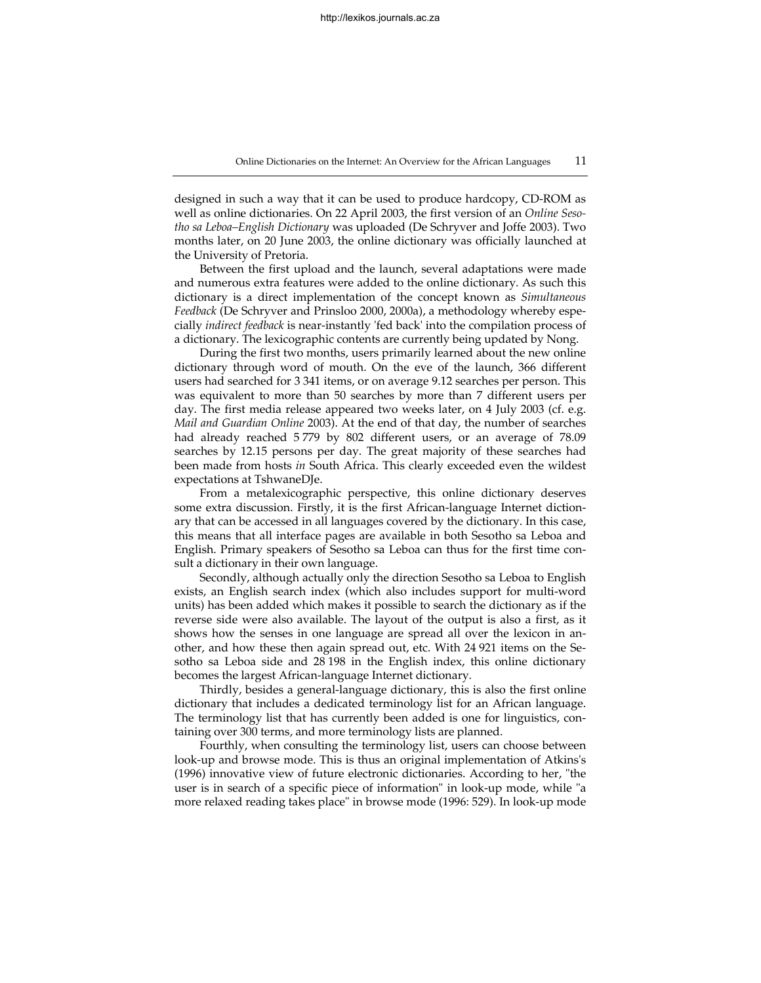designed in such a way that it can be used to produce hardcopy, CD-ROM as well as online dictionaries. On 22 April 2003, the first version of an *Online Sesotho sa Leboa–English Dictionary* was uploaded (De Schryver and Joffe 2003). Two months later, on 20 June 2003, the online dictionary was officially launched at the University of Pretoria.

Between the first upload and the launch, several adaptations were made and numerous extra features were added to the online dictionary. As such this dictionary is a direct implementation of the concept known as *Simultaneous Feedback* (De Schryver and Prinsloo 2000, 2000a), a methodology whereby especially *indirect feedback* is near-instantly 'fed back' into the compilation process of a dictionary. The lexicographic contents are currently being updated by Nong.

During the first two months, users primarily learned about the new online dictionary through word of mouth. On the eve of the launch, 366 different users had searched for 3 341 items, or on average 9.12 searches per person. This was equivalent to more than 50 searches by more than 7 different users per day. The first media release appeared two weeks later, on 4 July 2003 (cf. e.g. *Mail and Guardian Online* 2003). At the end of that day, the number of searches had already reached 5 779 by 802 different users, or an average of 78.09 searches by 12.15 persons per day. The great majority of these searches had been made from hosts *in* South Africa. This clearly exceeded even the wildest expectations at TshwaneDJe.

From a metalexicographic perspective, this online dictionary deserves some extra discussion. Firstly, it is the first African-language Internet dictionary that can be accessed in all languages covered by the dictionary. In this case, this means that all interface pages are available in both Sesotho sa Leboa and English. Primary speakers of Sesotho sa Leboa can thus for the first time consult a dictionary in their own language.

Secondly, although actually only the direction Sesotho sa Leboa to English exists, an English search index (which also includes support for multi-word units) has been added which makes it possible to search the dictionary as if the reverse side were also available. The layout of the output is also a first, as it shows how the senses in one language are spread all over the lexicon in another, and how these then again spread out, etc. With 24 921 items on the Sesotho sa Leboa side and 28 198 in the English index, this online dictionary becomes the largest African-language Internet dictionary.

Thirdly, besides a general-language dictionary, this is also the first online dictionary that includes a dedicated terminology list for an African language. The terminology list that has currently been added is one for linguistics, containing over 300 terms, and more terminology lists are planned.

Fourthly, when consulting the terminology list, users can choose between look-up and browse mode. This is thus an original implementation of Atkins's (1996) innovative view of future electronic dictionaries. According to her, "the user is in search of a specific piece of information" in look-up mode, while "a more relaxed reading takes place" in browse mode (1996: 529). In look-up mode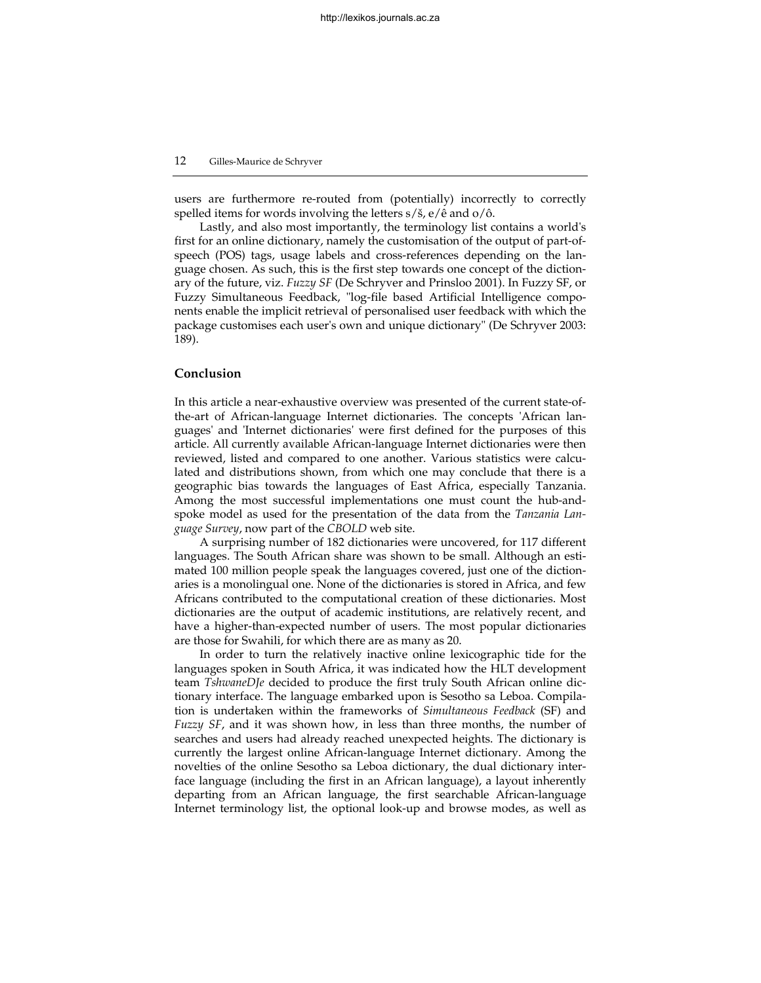users are furthermore re-routed from (potentially) incorrectly to correctly spelled items for words involving the letters s/š, e/ê and o/ô.

Lastly, and also most importantly, the terminology list contains a world's first for an online dictionary, namely the customisation of the output of part-ofspeech (POS) tags, usage labels and cross-references depending on the language chosen. As such, this is the first step towards one concept of the dictionary of the future, viz. *Fuzzy SF* (De Schryver and Prinsloo 2001). In Fuzzy SF, or Fuzzy Simultaneous Feedback, "log-file based Artificial Intelligence components enable the implicit retrieval of personalised user feedback with which the package customises each user's own and unique dictionary" (De Schryver 2003: 189).

# **Conclusion**

In this article a near-exhaustive overview was presented of the current state-ofthe-art of African-language Internet dictionaries. The concepts 'African languages' and 'Internet dictionaries' were first defined for the purposes of this article. All currently available African-language Internet dictionaries were then reviewed, listed and compared to one another. Various statistics were calculated and distributions shown, from which one may conclude that there is a geographic bias towards the languages of East Africa, especially Tanzania. Among the most successful implementations one must count the hub-andspoke model as used for the presentation of the data from the *Tanzania Language Survey*, now part of the *CBOLD* web site.

A surprising number of 182 dictionaries were uncovered, for 117 different languages. The South African share was shown to be small. Although an estimated 100 million people speak the languages covered, just one of the dictionaries is a monolingual one. None of the dictionaries is stored in Africa, and few Africans contributed to the computational creation of these dictionaries. Most dictionaries are the output of academic institutions, are relatively recent, and have a higher-than-expected number of users. The most popular dictionaries are those for Swahili, for which there are as many as 20.

In order to turn the relatively inactive online lexicographic tide for the languages spoken in South Africa, it was indicated how the HLT development team *TshwaneDJe* decided to produce the first truly South African online dictionary interface. The language embarked upon is Sesotho sa Leboa. Compilation is undertaken within the frameworks of *Simultaneous Feedback* (SF) and *Fuzzy SF*, and it was shown how, in less than three months, the number of searches and users had already reached unexpected heights. The dictionary is currently the largest online African-language Internet dictionary. Among the novelties of the online Sesotho sa Leboa dictionary, the dual dictionary interface language (including the first in an African language), a layout inherently departing from an African language, the first searchable African-language Internet terminology list, the optional look-up and browse modes, as well as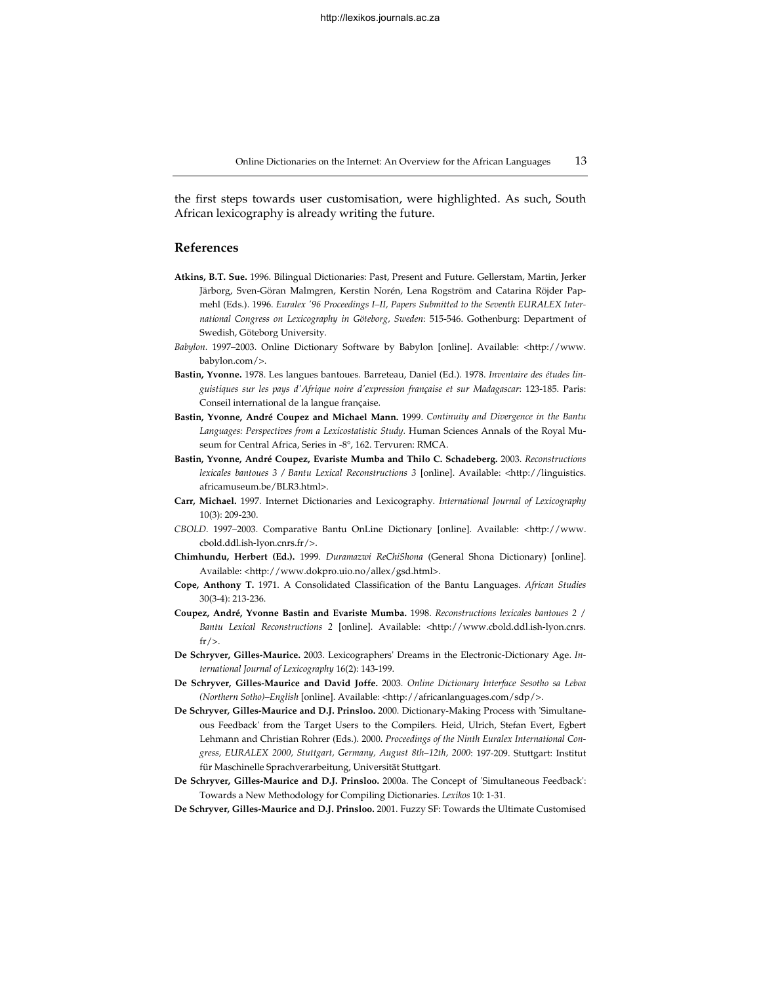the first steps towards user customisation, were highlighted. As such, South African lexicography is already writing the future.

# **References**

- **Atkins, B.T. Sue.** 1996. Bilingual Dictionaries: Past, Present and Future. Gellerstam, Martin, Jerker Järborg, Sven-Göran Malmgren, Kerstin Norén, Lena Rogström and Catarina Röjder Papmehl (Eds.). 1996. *Euralex '96 Proceedings I–II, Papers Submitted to the Seventh EURALEX International Congress on Lexicography in Göteborg, Sweden*: 515-546. Gothenburg: Department of Swedish, Göteborg University.
- *Babylon*. 1997–2003. Online Dictionary Software by Babylon [online]. Available: <http://www. babylon.com/>.
- **Bastin, Yvonne.** 1978. Les langues bantoues. Barreteau, Daniel (Ed.). 1978. *Inventaire des études linguistiques sur les pays d'Afrique noire d'expression française et sur Madagascar*: 123-185. Paris: Conseil international de la langue française.
- **Bastin, Yvonne, André Coupez and Michael Mann.** 1999. *Continuity and Divergence in the Bantu Languages: Perspectives from a Lexicostatistic Study.* Human Sciences Annals of the Royal Museum for Central Africa, Series in -8°, 162. Tervuren: RMCA.
- **Bastin, Yvonne, André Coupez, Evariste Mumba and Thilo C. Schadeberg.** 2003. *Reconstructions lexicales bantoues 3 / Bantu Lexical Reconstructions 3* [online]. Available: <http://linguistics. africamuseum.be/BLR3.html>.
- **Carr, Michael.** 1997. Internet Dictionaries and Lexicography. *International Journal of Lexicography* 10(3): 209-230.
- *CBOLD*. 1997–2003. Comparative Bantu OnLine Dictionary [online]. Available: <http://www. cbold.ddl.ish-lyon.cnrs.fr/>.
- **Chimhundu, Herbert (Ed.).** 1999. *Duramazwi ReChiShona* (General Shona Dictionary) [online]. Available: <http://www.dokpro.uio.no/allex/gsd.html>.
- **Cope, Anthony T.** 1971. A Consolidated Classification of the Bantu Languages. *African Studies*  30(3-4): 213-236.
- **Coupez, André, Yvonne Bastin and Evariste Mumba.** 1998. *Reconstructions lexicales bantoues 2* / *Bantu Lexical Reconstructions 2* [online]. Available: <http://www.cbold.ddl.ish-lyon.cnrs.  $fr/$ .
- **De Schryver, Gilles-Maurice.** 2003. Lexicographers' Dreams in the Electronic-Dictionary Age. *International Journal of Lexicography* 16(2): 143-199.
- **De Schryver, Gilles-Maurice and David Joffe.** 2003. *Online Dictionary Interface Sesotho sa Leboa (Northern Sotho)–English* [online]. Available: <http://africanlanguages.com/sdp/>.
- **De Schryver, Gilles-Maurice and D.J. Prinsloo.** 2000. Dictionary-Making Process with 'Simultaneous Feedback' from the Target Users to the Compilers. Heid, Ulrich, Stefan Evert, Egbert Lehmann and Christian Rohrer (Eds.). 2000. *Proceedings of the Ninth Euralex International Congress, EURALEX 2000, Stuttgart, Germany, August 8th–12th, 2000*: 197-209. Stuttgart: Institut für Maschinelle Sprachverarbeitung, Universität Stuttgart.
- **De Schryver, Gilles-Maurice and D.J. Prinsloo.** 2000a. The Concept of 'Simultaneous Feedback': Towards a New Methodology for Compiling Dictionaries. *Lexikos* 10: 1-31.
- **De Schryver, Gilles-Maurice and D.J. Prinsloo.** 2001. Fuzzy SF: Towards the Ultimate Customised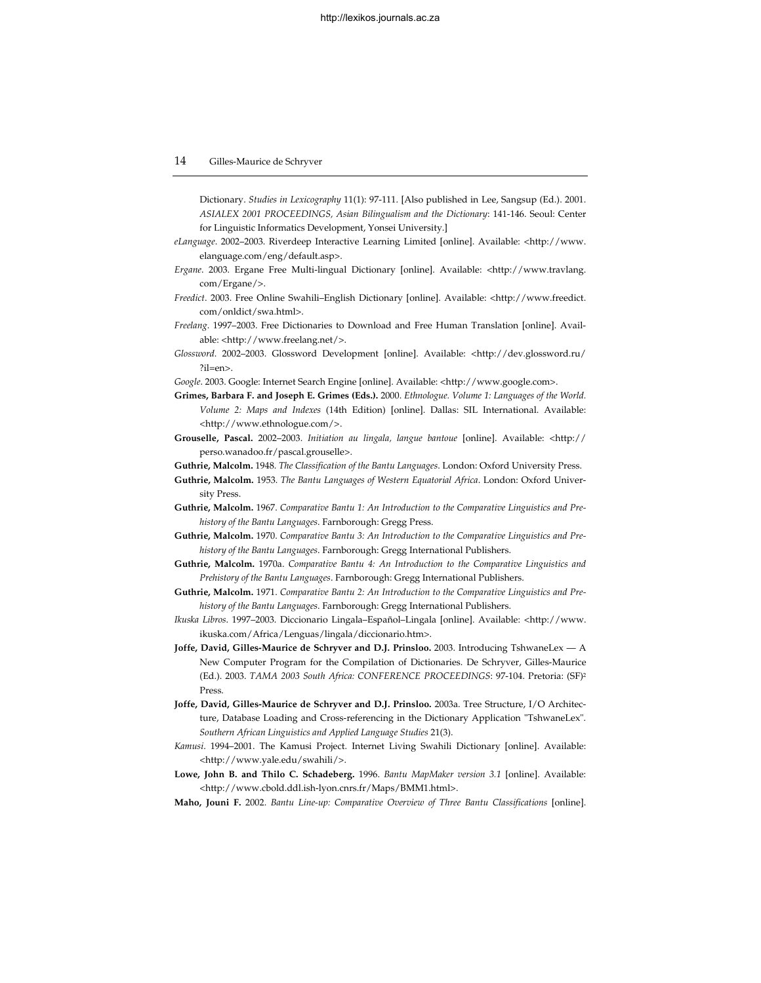Dictionary. *Studies in Lexicography* 11(1): 97-111. [Also published in Lee, Sangsup (Ed.). 2001. *ASIALEX 2001 PROCEEDINGS, Asian Bilingualism and the Dictionary*: 141-146. Seoul: Center for Linguistic Informatics Development, Yonsei University.]

- *eLanguage*. 2002–2003. Riverdeep Interactive Learning Limited [online]. Available: <http://www. elanguage.com/eng/default.asp>.
- *Ergane*. 2003. Ergane Free Multi-lingual Dictionary [online]. Available: <http://www.travlang. com/Ergane/>.
- *Freedict*. 2003. Free Online Swahili–English Dictionary [online]. Available: <http://www.freedict. com/onldict/swa.html>.
- *Freelang*. 1997–2003. Free Dictionaries to Download and Free Human Translation [online]. Available: <http://www.freelang.net/>.
- *Glossword*. 2002–2003. Glossword Development [online]. Available: <http://dev.glossword.ru/ ?il=en>.

*Google*. 2003. Google: Internet Search Engine [online]. Available: <http://www.google.com>.

- **Grimes, Barbara F. and Joseph E. Grimes (Eds.).** 2000. *Ethnologue. Volume 1: Languages of the World. Volume 2: Maps and Indexes* (14th Edition) [online]. Dallas: SIL International. Available: <http://www.ethnologue.com/>.
- **Grouselle, Pascal.** 2002–2003. *Initiation au lingala, langue bantoue* [online]. Available: <http:// perso.wanadoo.fr/pascal.grouselle>.
- **Guthrie, Malcolm.** 1948. *The Classification of the Bantu Languages*. London: Oxford University Press.
- **Guthrie, Malcolm.** 1953. *The Bantu Languages of Western Equatorial Africa*. London: Oxford University Press.
- **Guthrie, Malcolm.** 1967. *Comparative Bantu 1: An Introduction to the Comparative Linguistics and Prehistory of the Bantu Languages*. Farnborough: Gregg Press.
- **Guthrie, Malcolm.** 1970. *Comparative Bantu 3: An Introduction to the Comparative Linguistics and Prehistory of the Bantu Languages*. Farnborough: Gregg International Publishers.
- **Guthrie, Malcolm.** 1970a. *Comparative Bantu 4: An Introduction to the Comparative Linguistics and Prehistory of the Bantu Languages*. Farnborough: Gregg International Publishers.
- **Guthrie, Malcolm.** 1971. *Comparative Bantu 2: An Introduction to the Comparative Linguistics and Prehistory of the Bantu Languages*. Farnborough: Gregg International Publishers.
- *Ikuska Libros*. 1997–2003. Diccionario Lingala–Español–Lingala [online]. Available: <http://www. ikuska.com/Africa/Lenguas/lingala/diccionario.htm>.
- **Joffe, David, Gilles-Maurice de Schryver and D.J. Prinsloo.** 2003. Introducing TshwaneLex A New Computer Program for the Compilation of Dictionaries. De Schryver, Gilles-Maurice (Ed.). 2003. *TAMA 2003 South Africa: CONFERENCE PROCEEDINGS*: 97-104. Pretoria: (SF)2 Press.
- **Joffe, David, Gilles-Maurice de Schryver and D.J. Prinsloo.** 2003a. Tree Structure, I/O Architecture, Database Loading and Cross-referencing in the Dictionary Application "TshwaneLex". *Southern African Linguistics and Applied Language Studies* 21(3).
- *Kamusi*. 1994–2001. The Kamusi Project. Internet Living Swahili Dictionary [online]. Available: <http://www.yale.edu/swahili/>.
- **Lowe, John B. and Thilo C. Schadeberg.** 1996. *Bantu MapMaker version 3.1* [online]. Available: <http://www.cbold.ddl.ish-lyon.cnrs.fr/Maps/BMM1.html>.
- **Maho, Jouni F.** 2002. *Bantu Line-up: Comparative Overview of Three Bantu Classifications* [online].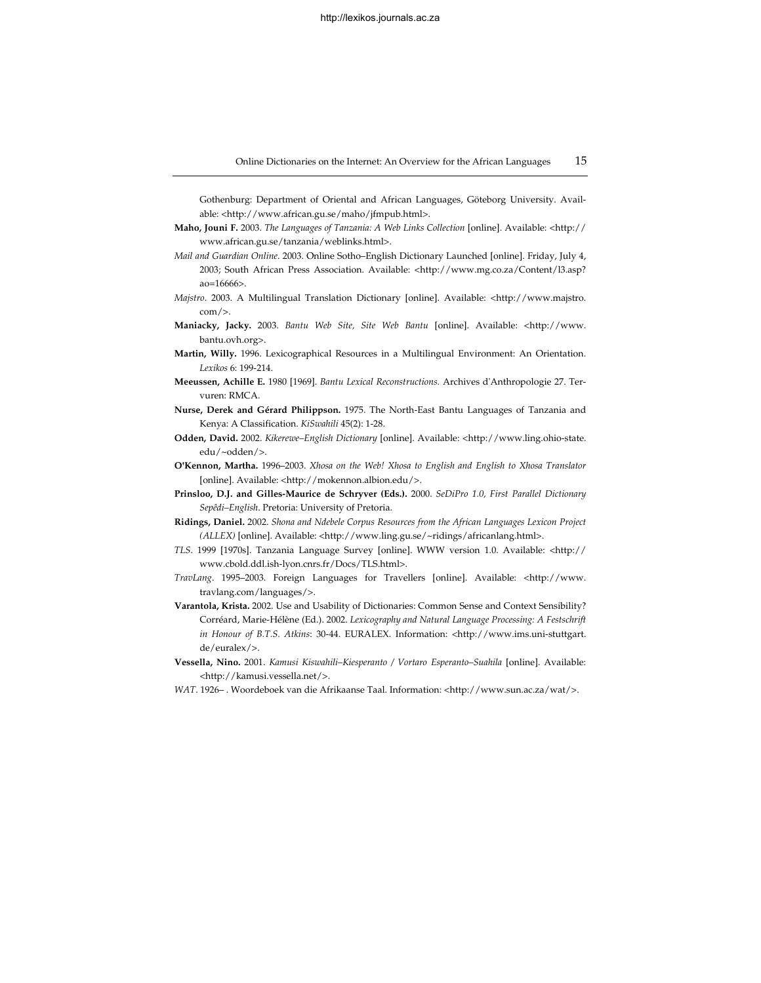Gothenburg: Department of Oriental and African Languages, Göteborg University. Available: <http://www.african.gu.se/maho/jfmpub.html>.

- **Maho, Jouni F.** 2003. *The Languages of Tanzania: A Web Links Collection* [online]. Available: <http:// www.african.gu.se/tanzania/weblinks.html>.
- *Mail and Guardian Online*. 2003. Online Sotho–English Dictionary Launched [online]. Friday, July 4, 2003; South African Press Association. Available: <http://www.mg.co.za/Content/l3.asp? ao=16666>.
- *Majstro*. 2003. A Multilingual Translation Dictionary [online]. Available: <http://www.majstro.  $com \rightarrow$ .
- **Maniacky, Jacky.** 2003. *Bantu Web Site, Site Web Bantu* [online]. Available: <http://www. bantu.ovh.org>.
- **Martin, Willy.** 1996. Lexicographical Resources in a Multilingual Environment: An Orientation. *Lexikos* 6: 199-214.
- **Meeussen, Achille E.** 1980 [1969]. *Bantu Lexical Reconstructions.* Archives d'Anthropologie 27. Tervuren: RMCA.
- **Nurse, Derek and Gérard Philippson.** 1975. The North-East Bantu Languages of Tanzania and Kenya: A Classification. *KiSwahili* 45(2): 1-28.
- **Odden, David.** 2002. *Kikerewe–English Dictionary* [online]. Available: <http://www.ling.ohio-state. edu/~odden/>.
- **O'Kennon, Martha.** 1996–2003. *Xhosa on the Web! Xhosa to English and English to Xhosa Translator*  [online]. Available: <http://mokennon.albion.edu/>.
- **Prinsloo, D.J. and Gilles-Maurice de Schryver (Eds.).** 2000. *SeDiPro 1.0, First Parallel Dictionary Sepêdi–English*. Pretoria: University of Pretoria.
- **Ridings, Daniel.** 2002. *Shona and Ndebele Corpus Resources from the African Languages Lexicon Project (ALLEX)* [online]. Available: <http://www.ling.gu.se/~ridings/africanlang.html>.
- *TLS*. 1999 [1970s]. Tanzania Language Survey [online]. WWW version 1.0. Available: <http:// www.cbold.ddl.ish-lyon.cnrs.fr/Docs/TLS.html>.
- *TravLang*. 1995–2003. Foreign Languages for Travellers [online]. Available: <http://www. travlang.com/languages/>.
- **Varantola, Krista.** 2002. Use and Usability of Dictionaries: Common Sense and Context Sensibility? Corréard, Marie-Hélène (Ed.). 2002. *Lexicography and Natural Language Processing: A Festschrift in Honour of B.T.S. Atkins*: 30-44. EURALEX. Information: <http://www.ims.uni-stuttgart. de/euralex/>.
- **Vessella, Nino.** 2001. *Kamusi Kiswahili–Kiesperanto / Vortaro Esperanto–Suahila* [online]. Available: <http://kamusi.vessella.net/>.
- *WAT*. 1926– . Woordeboek van die Afrikaanse Taal. Information: <http://www.sun.ac.za/wat/>.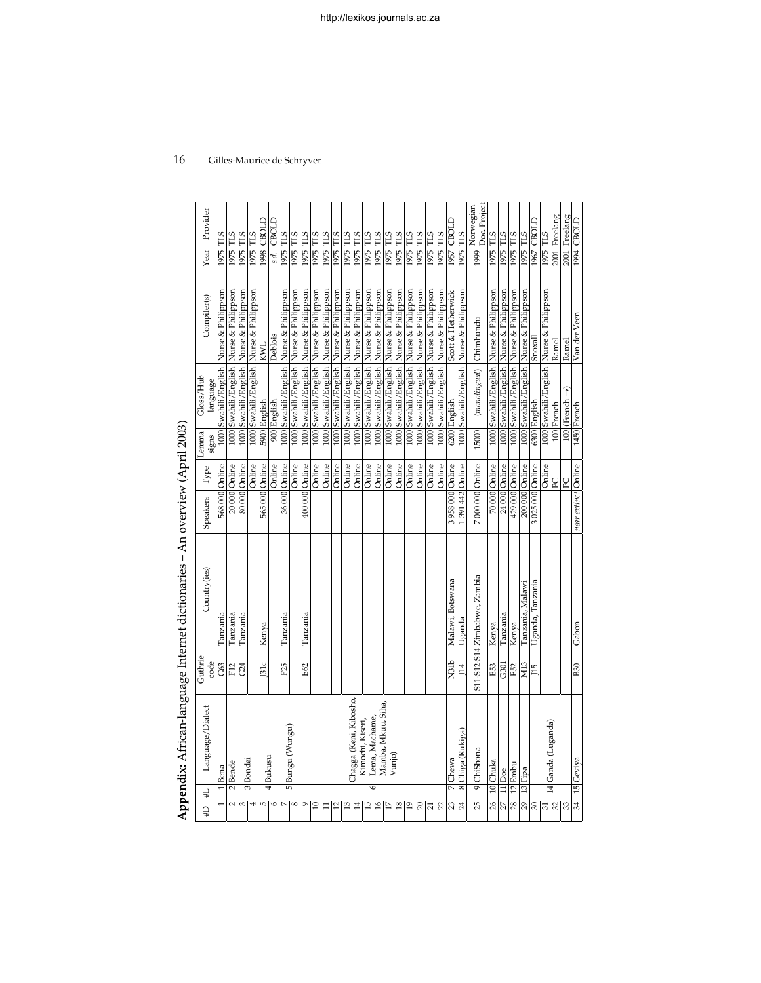|                 | Appendix: African-language Internet dictionaries – An overview (April 2003) |                 |                              |                     |                                |                |                                |                                             |                 |                                |
|-----------------|-----------------------------------------------------------------------------|-----------------|------------------------------|---------------------|--------------------------------|----------------|--------------------------------|---------------------------------------------|-----------------|--------------------------------|
| U#              | Language/Dialect<br>#L                                                      | Guthrie<br>code | Country(ies)                 | Speakers            | ${\rm Type}$                   | Lemma<br>signs | Gloss/Hub<br>language          | Compiler(s)                                 | Year            | Provider                       |
|                 | Bena                                                                        |                 | lanzania                     | 568 000 Online      |                                |                | 1000 Swahili/English           | Nurse & Philippson                          | 1975 TLS        |                                |
|                 | 2 <sup>Bende</sup><br>$\overline{2}$                                        | G63<br>F12      | Tanzania                     |                     |                                |                | 1000 Swahili/English           | Nurse & Philippson                          | 1975            | <b>TLS</b>                     |
| 3               |                                                                             | G24             | Tanzania                     |                     | 20 000 Online<br>80 000 Online |                | 1000 Swahili / English         | Nurse & Philippson                          | 1975 TLS        |                                |
|                 | 3 Bondei                                                                    |                 |                              |                     | Online                         |                | 1000 Swahili/English           | Nurse & Philippson                          | 1975 TLS        |                                |
|                 | 4Bukusu<br>5                                                                | 131c            | Kenya                        | 565 000 Online      |                                |                | 5900 English                   | KWL                                         |                 | <b>LO98</b> CBOLD              |
|                 | ه                                                                           |                 |                              |                     | Online                         |                | 900 English                    | Deblois                                     | s.d.            | CBOLD                          |
|                 | 10                                                                          | F25             | Tanzania                     |                     | 36000 Online                   |                | 1000 Swahili/English           | Nurse & Philippson                          | 1975 TLS        |                                |
| $^{\circ}$      | Bungu (Wungu)                                                               |                 |                              |                     | Online                         |                |                                | 1000 Swahili/English Nurse & Philippson     | 1975 TLS        |                                |
| σ               |                                                                             | E62             | Tanzania                     | 400 000 Online      |                                |                |                                | 1000 Swahili/English Nurse & Philippson     | 1975 TLS        |                                |
| $\Xi$           |                                                                             |                 |                              |                     | Online                         |                |                                | 1000 Swahili/English Nurse & Philippson     | <b>STL</b> 9261 |                                |
| Ξ               |                                                                             |                 |                              |                     | Online                         |                |                                | 1000 Swahili/English Nurse & Philippson     | 1975 TLS        |                                |
| $\approx$       |                                                                             |                 |                              |                     | Online                         |                |                                | 1000 Swahili/English Nurse & Philippson     | 1975 TLS        |                                |
| 13              |                                                                             |                 |                              |                     | Online                         |                |                                | 1000 Swahili/English Nurse & Philippson     | 1975 TLS        |                                |
| $\overline{14}$ | Chagga (Keni, Kibosho,                                                      |                 |                              |                     | Online                         |                |                                | 1000 Swahili/English  Nurse & Philippson    | 1975 TLS        |                                |
| 15              | Lema, Machame,<br>Kimochi, Kiseri,                                          |                 |                              |                     | Online                         |                |                                | 1000 Swahili/English  Nurse & Philippson    | 1975 TLS        |                                |
| 16              | Mamba, Mkuu, Siha,                                                          |                 |                              |                     | Online                         |                |                                | 1000 Swahili/English Nurse & Philippson     | 1975 TLS        |                                |
|                 | Vunjo)                                                                      |                 |                              |                     | Online                         |                |                                | 1000 Swahili/English Nurse & Philippson     | 1975 TLS        |                                |
| 18              |                                                                             |                 |                              |                     | Online                         |                |                                | 1000 Swahili / English   Nurse & Philippson | 1975 TLS        |                                |
| $^{19}$         |                                                                             |                 |                              |                     | Online                         |                | 1000 Swahili/English           | Nurse & Philippson                          | 1975 TLS        |                                |
| $\overline{c}$  |                                                                             |                 |                              |                     | Online                         |                | 1000 Swahili/English           | Nurse & Philippson                          | 1975 TLS        |                                |
| 71/22           |                                                                             |                 |                              |                     | Online                         |                | 1000 Swahili/English           | Nurse & Philippson                          | 1975 TLS        |                                |
|                 |                                                                             |                 |                              |                     | Online                         |                | 1000 Swahili/English           | Nurse & Philippson                          | 1975 TLS        |                                |
| 23              | 7 Chewa                                                                     | N31b            | Malawi, Botswana             | 3 958 000 Online    |                                |                | 6200 English                   | Scott & Hetherwick                          |                 | 1957 CBOLD                     |
| 24              | 8 Chiga (Rukiga)                                                            | 114             | Uganda                       | 1391442 Online      |                                |                |                                | 1000 Swahili/English Nurse & Philippson     | 1975 TLS        |                                |
| 25              | 9 ChiShona                                                                  |                 | S11-S12-S14 Zimbabwe, Zambia | 7 000 000 Online    |                                |                | 15000   monolingual) Chimhundu |                                             |                 | 1999 Norwegian<br>Doc. Project |
|                 | 10 Chuka                                                                    | E53             | Kenya                        |                     | 70000 Online                   |                |                                | 1000 Swahili/English Nurse & Philippson     | 1975 TLS        |                                |
| $rac{26}{28}$   | $11$ Doe                                                                    | G301            | Tanzania                     |                     | 24 000 Online                  |                |                                | 1000 Swahili/English Nurse & Philippson     | 1975 TLS        |                                |
|                 | $12$ Embu                                                                   | E52             | Kenya                        | 429 000 Online      |                                |                |                                | 1000 Swahili / English  Nurse & Philippson  | 1975 TLS        |                                |
| 29              | $13$<br>Fipa                                                                | M13             | Tanzania, Malawi             | 200 000 Online      |                                |                |                                | 1000 Swahili / English   Nurse & Philippson | 1975 TLS        |                                |
|                 |                                                                             | <b>EU</b>       | Uganda, Tanzania             | 3 025 000 Online    |                                |                | 6300 English                   | Snoxal                                      |                 | 1967 CBOLD                     |
| $\frac{31}{32}$ |                                                                             |                 |                              |                     | Online                         |                | 1000 Swahili/English           | Nurse & Philippson                          | 1975 TLS        |                                |
|                 | 14 Ganda (Luganda)                                                          |                 |                              |                     | $\mathbb{R}$                   |                | 100 French                     | Ramel                                       |                 | 2001 Freelang                  |
| $\frac{33}{2}$  |                                                                             |                 |                              |                     | R                              |                | 100 (French                    | Ramel                                       |                 | 2001 Freelang                  |
| 34              | 15 Geviya                                                                   | <b>B30</b>      | Gabon                        | near extinct Online |                                |                | 1450 French                    | Van der Veen                                |                 | T080 F66I                      |

Appendix: African-language Internet dictionaries - An overview (April 2003)

# 16 Gilles-Maurice de Schryver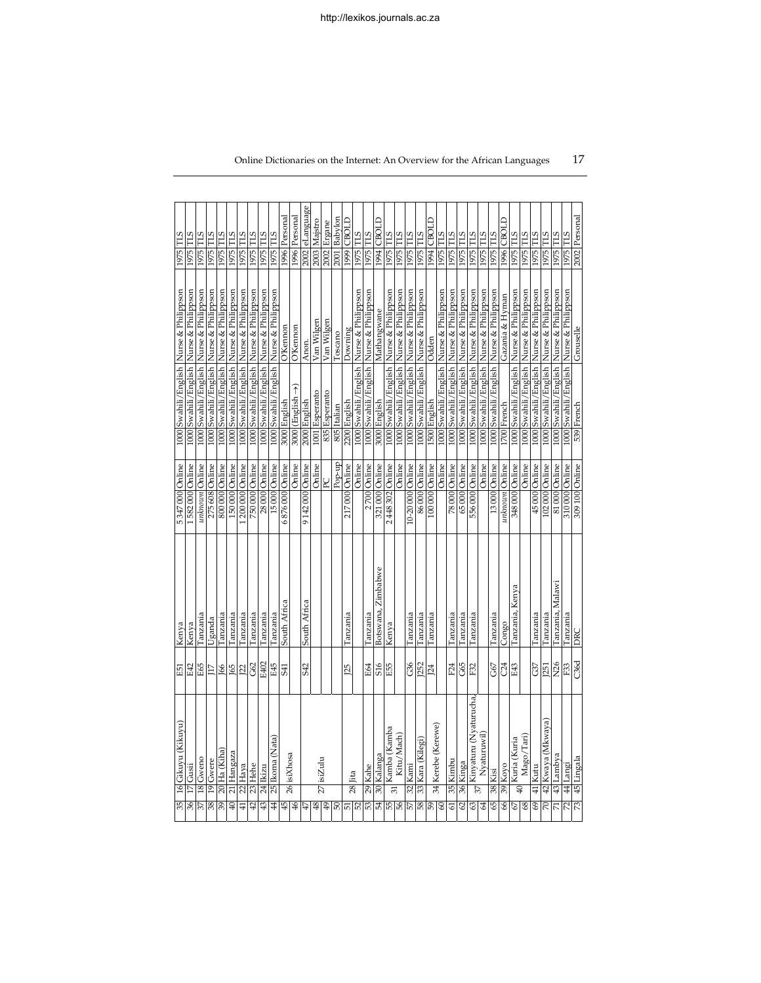|                  | 35 16 Gikuyu (Kikuyu)                  | E51             | Kenya              | 5347000 Online   |        |                        | 1000 Swahili/English Nurse & Philippson     | 1975 TLS        |
|------------------|----------------------------------------|-----------------|--------------------|------------------|--------|------------------------|---------------------------------------------|-----------------|
| 36               | $\overline{17}$ Gusii                  | E42             | Kenya              | 1582000 Online   |        |                        | 1000 Swahili/English Nurse & Philippson     | 1975 TLS        |
| 37               | 18 Gweno                               | E65             | Tanzania           | unknown Online   |        |                        | 1000 Swahili/English Nurse & Philippson     | 1975 TLS        |
| 38               | 19 Gwere                               | 117             | Uganda             | 275 608 Online   |        |                        | 1000 Swahili/English Nurse & Philippson     | 1975 TLS        |
| $\overline{39}$  | 20 Ha (Kiha)                           |                 | Tanzania           | 800 000 Online   |        |                        | 1000 Swahili/English Nurse & Philippson     | 1975 TLS        |
| $\overline{40}$  | 21 Hangaza                             | <u>1652</u>     | Tanzania           | 150 000 Online   |        |                        | 1000 Swahili/English Nurse & Philippson     | 1975 TLS        |
| 41               | $22$ Haya                              |                 | Tanzania           | 200 000 Online   |        |                        | 1000 Swahili/English Nurse & Philippson     | 1975 TLS        |
| 42               | 23 Hehe                                | <b>G</b>        | Tanzania           | 750 000 Online   |        |                        | 1000 Swahili/English  Nurse & Philippson    | 1975 TLS        |
| 43               | 24 Ikizu                               | E402            | Tanzania           | 28 000 Online    |        |                        | 1000 Swahili/English Nurse & Philippson     | 1975 TLS        |
| 44               | 25 Ikoma (Nata)                        | E45             | Tanzania           | 15000 Online     |        |                        | 1000 Swahili / English   Nurse & Philippson | 1975 TLS        |
| 45               | 26 isiXhosa                            |                 | South Africa       | 6876000 Online   |        | 3000 English           | <b>O'Kennon</b>                             | 1996 Personal   |
|                  |                                        |                 |                    |                  | Online | 3000 (English →)       | <b>O'Kennon</b>                             | 1996 Personal   |
| 47               |                                        | <b>S42</b>      | South Africa       | 9142000 Online   |        | 2000 English           | Anon.                                       | 2002 eLanguage  |
| 48               | $27$ isiZulu                           |                 |                    |                  | Online | 1001 Esperanto         | Van Wilgen                                  | 2003 Majstro    |
| 49               |                                        |                 |                    | R                |        | 835 Esperanto          | Van Wilgen                                  | 2002 Ergane     |
| 50               |                                        |                 |                    |                  | Pop-up | 805 Italian            | Toscano                                     | 2001 Babylon    |
| 51               | 28 lita                                | 125             | Tanzania           | 217000 Online    |        | 2200 English           | Downing                                     | TO80 6661       |
|                  |                                        |                 |                    |                  | Online |                        | 1000 Swahili/English Nurse & Philippson     | 1975 TLS        |
| 53               | 29 Kahe                                | E64             | Tanzania           | 2700 Online      |        |                        | 1000 Swahili/English Nurse & Philippson     | 1975 TLS        |
| 54               | 30 Kalanga                             | S16             | Botswana, Zimbabwe | 321000 Online    |        | 3000 English           | Mathangwane                                 | 1994 CBOLD      |
| 55               | 31 Kamba (Kamba                        | E55             | Kenya              | 2448302 Online   |        |                        | 1000 Swahili/English Nurse & Philippson     | 1975 TLS        |
|                  | Kitu/Mach)                             |                 |                    |                  | Online |                        | 1000 Swahili/English Nurse & Philippson     | 1975 TLS        |
|                  | 32 Kami                                |                 | Tanzania           | 10-20 000 Online |        |                        | 1000 Swahili/English  Nurse & Philippson    | 1975 TLS        |
|                  | 33 Kara (Kilegi)                       | $rac{36}{122}$  | Tanzania           | 86000 Online     |        |                        | 1000 Swahili/English  Nurse & Philippson    | 1975 TLS        |
| $rac{26}{25}$    | 34 Kerebe (Kerewe)                     | J24             | Tanzania           | 100000 Online    |        | 1500 English           | Odden                                       | 1994 CBOLD      |
|                  |                                        |                 |                    |                  | Online |                        | 1000 Swahili/English Nurse & Philippson     | <b>STL</b> 9261 |
| 61               | 35 Kimbu                               | F24             | Tanzania           | 78 000 Online    |        |                        | 1000 Swahili/English  Nurse & Philippson    | 1975 TLS        |
| 62               | 36 Kinga                               | G65             | Tanzania           | 65000 Online     |        |                        | 1000 Swahili/English Nurse & Philippson     | 1975 TLS        |
| $rac{63}{64}$    | $37\Big \text{Kingaturu}$ (Nyaturucha, | F32             | Tanzania           | 556 000 Online   |        |                        | 1000 Swahili/English Nurse & Philippson     | 1975 TLS        |
|                  | Nyaturuwil)                            |                 |                    |                  | Online |                        | 1000 Swahili/English Nurse & Philippson     | 1975 TLS        |
| 65               | 38 Kisi                                | G67             | Tanzania           | 13000 Online     |        |                        | 1000 Swahili/English Nurse & Philippson     | 1975 TLS        |
| 66               | 39 Koyo                                | C24             | Congo              | unknown Online   |        | 1700 French            | Gazania & Hyman                             | 1996 CBOLD      |
| $67\,$           | $\omega$ Kuria (Kuria                  | E43             | Tanzania, Kenya    | 348 000 Online   |        |                        | 1000 Swahili/English Nurse & Philippson     | 1975 TLS        |
| $\frac{8}{3}$    | Mago/Tari)                             |                 |                    | Online           |        |                        | 1000 Swahili/English Nurse & Philippson     | 1975 TLS        |
| 69               | 41 Kutu                                | G37             | Tanzania           | 45 000 Online    |        |                        | 1000 Swahili/English Nurse & Philippson     | 1975 TLS        |
| 70               | 42 Kwaya (Mkwaya)                      | [25]            | Tanzania           | 102000 Online    |        | 1000 Swahili / English | Nurse & Philippson                          | 1975 TLS        |
| $\overline{\pi}$ | 43 Lambya                              | N26             | Tanzania, Malawi   | 81000 Online     |        | 1000 Swahili/English   | Nurse & Philippson                          | 1975 TLS        |
| 72               | 44 Langi                               | F <sub>33</sub> | Tanzania           | 310 000 Online   |        | 1000 Swahili/English   | Nurse & Philippson                          | <b>STL</b> [261 |
| 73               | 45 Lingala                             | C36d            | <b>DKC</b>         | 309 100 Online   |        | 539 French             | Grouselle                                   | 2002 Personal   |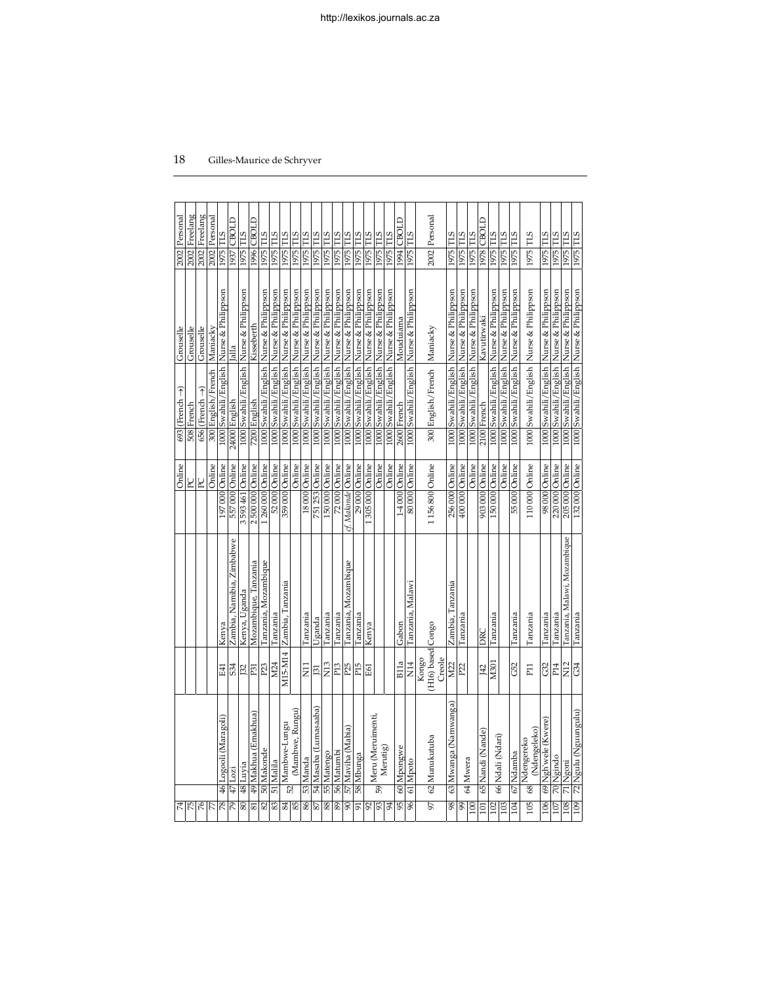| 74                |                                    |                                      |                              | Online             | $693$ (French $\rightarrow$ )             | Grouselle          | 2002 Personal |  |
|-------------------|------------------------------------|--------------------------------------|------------------------------|--------------------|-------------------------------------------|--------------------|---------------|--|
| 75                |                                    |                                      |                              | R                  | 508 French                                | Grouselle          | 2002 Freelang |  |
|                   |                                    |                                      |                              | $_{\rm PC}$        | $656$ (French $\rightarrow$ )             | Grouselle          | 2002 Freelang |  |
|                   |                                    |                                      |                              | Online             | 300 English/French Maniacky               |                    | 2002 Personal |  |
| 78                | 46 Logooli (Maragoli)              | E41                                  | Kenya                        | 197000 Online      | 1000 Swahili/English Nurse & Philippson   |                    | 1975 TLS      |  |
| 79                | $47$  Lozi                         | S <sub>34</sub>                      | Zambia, Namibia, Zimbabwe    | 557000 Online      | 24000 English                             | Jalla              | 1937 CBOLD    |  |
| 80                | 48 Luyia                           | 132                                  | Kenya, Uganda                | 3 593 461 Online   | 1000 Swahili/English Nurse & Philippson   |                    | 1975 TLS      |  |
| 81                | 49 Makhua (Emakhua)                | P31                                  | Mozambique, Tanzania         | 2500000 Online     | 7200 English                              | Kisseberth         | 1996 CBOLD    |  |
| 82                | 50 Makonde                         | P <sub>23</sub>                      | Tanzania, Mozambique         | 1260000 Online     | 1000 Swahili/English Nurse & Philippson   |                    | 1975 TLS      |  |
| 83                | 51 Malila                          | M <sub>24</sub>                      | Tanzania                     | 52000 Online       | 1000 Swahili/English Nurse & Philippson   |                    | 1975 TLS      |  |
| 84                | $52 \sqrt{\frac{Mambwe-Lungu}{m}}$ | M15-M14                              | Zambia, Tanzania             | 359 000 Online     | 1000 Swahili/English Nurse & Philippson   |                    | 1975 TLS      |  |
|                   | (Mambwe, Rungu)                    |                                      |                              | Online             | 1000 Swahili/English Nurse & Philippson   |                    | 1975 TLS      |  |
| 86                | 53 Manda                           | $\overline{z}$                       | Tanzania                     | 18000 Online       | 1000 Swahili/English Nurse & Philippson   |                    | 1975 TLS      |  |
| 87                | 54 Masaba (Lumasaaba)              | 131                                  | Uganda                       | 751 253 Online     | 1000 Swahili/English Nurse & Philippson   |                    | 1975 TLS      |  |
|                   | 88 55 Matengo                      | N <sub>13</sub>                      | Tanzania                     | 150000 Online      | 1000 Swahili/English Nurse & Philippson   |                    | 1975 TLS      |  |
|                   | 89 56 Matumbi                      | P <sub>13</sub>                      | Tanzania                     | 72000 Online       | 1000 Swahili/English Nurse & Philippson   |                    | 1975 TLS      |  |
| 90                | 57 Maviha (Mabia)                  | P <sub>25</sub>                      | Tanzania, Mozambique         | cf. Makonde Online | 1000 Swahili/English Nurse & Philippson   |                    | 1975 TLS      |  |
| 91                | 58 Mbunga                          | P <sub>15</sub>                      | Tanzania                     | 29 000 Online      | 1000 Swahili/English  Nurse & Philippson  |                    | 1975 TLS      |  |
|                   |                                    | E61                                  | Kenya                        | 1305000 Online     | 1000 Swahili/English  Nurse & Philippson  |                    | 1975 TLS      |  |
| $\frac{92}{94}$   | Meru (Meruimenti,<br>59            |                                      |                              | Online             | 1000 Swahili/English Nurse & Philippson   |                    | 1975 TLS      |  |
|                   | Merutig)                           |                                      |                              | Online             | 1000 Swahili / English Nurse & Philippson |                    | 1975 TLS      |  |
| 95                | 60 Mpongwe                         | B11a                                 | Gabon                        | 1-4000 Online      | 2600 French                               | Mouduiama          | 1994 CBOLD    |  |
| 96                | 61 Mpoto                           | $\overline{E}$                       | Tanzania, Malawi             | 80000 Online       | 1000 Swahili/English Nurse & Philippson   |                    | 1975 TLS      |  |
| 97                | 62 Munukutuba                      | (H16) based Congo<br>Creole<br>Kongo |                              | 1156800 Online     | 300 English/French Maniacky               |                    | 2002 Personal |  |
| 98                | 63 Mwanga (Namwanga)               | M22                                  | Zambia, Tanzania             | 256 000 Online     | 1000 Swahili/English Nurse & Philippson   |                    | 1975 TLS      |  |
|                   | 64 Mwera                           | P <sub>2</sub>                       | Tanzania                     | 400 000 Online     | 1000 Swahili/English Nurse & Philippson   |                    | 1975 TLS      |  |
| $\frac{99}{100}$  |                                    |                                      |                              | Online             | 1000 Swahili/English  Nurse & Philippson  |                    | 1975 TLS      |  |
| 101               | 65 Nandi (Nande)                   | J42                                  | DKC                          | 903 000 Online     | 2100 French                               | Kavutirwaki        | 1978 CBOLD    |  |
| $\frac{102}{103}$ | 66 Ndali (Ndari)                   | M301                                 | Tanzania                     | 150000 Online      | 1000 Swahili/English Nurse & Philippson   |                    | 1975 TLS      |  |
|                   |                                    |                                      |                              | Online             | 1000 Swahili/English                      | Nurse & Philippson | 1975 TLS      |  |
| 104               | 67 Ndamba                          | G52                                  | Tanzania                     | 55000 Online       | 1000 Swahili/English  Nurse & Philippson  |                    | 1975 TLS      |  |
| 105               | (Ndengeleko)<br>68 Ndengereko      | P <sub>11</sub>                      | Tanzania                     | 110000 Online      | 1000 Swahili / English Nurse & Philippson |                    | 1975 TLS      |  |
| 106               | 69 Ngh'wele (Kwere)                | G32                                  | Tanzania                     | 98000 Online       | 1000 Swahili/English Nurse & Philippson   |                    | 1975 TLS      |  |
|                   | 107 70 Ngindo                      | P <sub>14</sub>                      | Tanzania                     | 220 000 Online     | 1000 Swahili/English Nurse & Philippson   |                    | 1975 TLS      |  |
|                   | 108 71 Ngoni                       | $\Sigma$                             | Tanzania, Malawi, Mozambique | 205 000 Online     | 1000 Swahili/English Nurse & Philippson   |                    | 1975 TLS      |  |
|                   | 109 72 Ngulu (Nguungulu)           | G <sup>4</sup>                       | Tanzania                     | 132000 Online      | 1000 Swahili/English Nurse & Philippson   |                    | 1975 TLS      |  |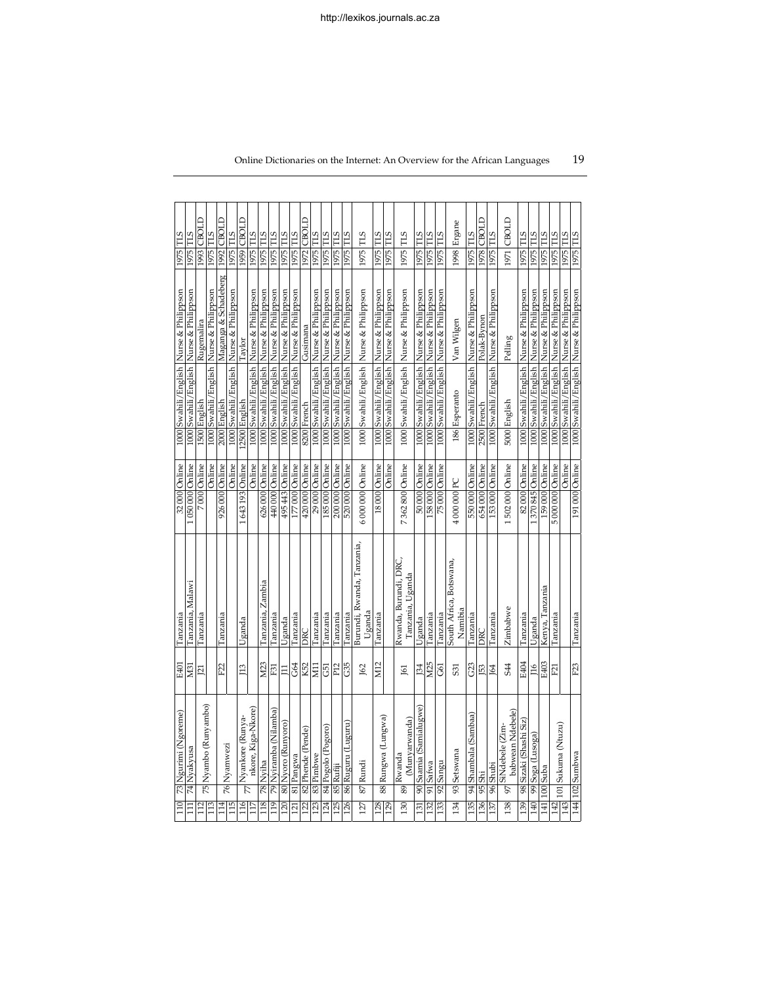| 110              | 73 Ngurimi (Ngoreme)                      | E401             | Tanzania                                  | 32000 Online     | 1000 Swahili/English  Nurse & Philippson  |                      | 1975 TLS        |             |
|------------------|-------------------------------------------|------------------|-------------------------------------------|------------------|-------------------------------------------|----------------------|-----------------|-------------|
| $\Xi$            | 74 Nyakyusa                               | M <sub>31</sub>  | Tanzania, Malawi                          | 050 000 Online   | 1000 Swahili / English                    | Nurse & Philippson   | <b>STL</b> 9261 |             |
| 112              |                                           | $\overline{21}$  | Tanzania                                  | 7000 Online      | 1500 English                              | Rugemalira           |                 | 1993 CBOLD  |
| 113              | 75 Nyambo (Runyambo)                      |                  |                                           | Online           | 1000 Swahili/English Nurse & Philippson   |                      | 1975 TLS        |             |
| 114              | 76 Nyamwezi                               | F22              | Tanzania                                  | 926 000 Online   | 2000 English                              | Maganga & Schadeberg |                 | 1992 CBOLD  |
| $\overline{115}$ |                                           |                  |                                           | Online           | 1000 Swahili/English Nurse & Philippson   |                      | 1975 TLS        |             |
| 116              | $\frac{1}{2}$ Nyankore (Runya-            | $\overline{13}$  | Uganda                                    | 1643193 Online   | 2500 English                              | Taylor               |                 | 1959 CBOLD  |
| 117              | nkore, Kiga-Nkore)                        |                  |                                           | Online           | 1000 Swahili/English Nurse & Philippson   |                      | 1975 TLS        |             |
| 118              | 78 Nyiha                                  | M23              | Tanzania, Zambia                          | 526 000 Online   | 1000 Swahili/English Nurse & Philippson   |                      | 1975 TLS        |             |
| 119              | 79  Nyiramba (Nilamba)                    | F31              | Tanzania                                  | 440 000 Online   | 1000 Swahili/English  Nurse & Philippson  |                      | 1975 TLS        |             |
| 120              | 80 Nyoro (Runyoro)                        | $\Xi$            | Uganda                                    | 495443 Online    | 1000 Swahili/English  Nurse & Philippson  |                      | 1975 TLS        |             |
| 121              | 81 Pangwa                                 | G64              | Tanzania                                  | 177000 Online    | 1000 Swahili / English Nurse & Philippson |                      | 1975 TLS        |             |
| 122              | 82 Phende (Pende)                         | K52              | DKC                                       | 420 000 Online   | 8200 French                               | Gusimana             |                 | 1972 CBOLD  |
| 123              | 83 Pimbwe                                 | EI               | Tanzania                                  | 29 000 Online    | 1000 Swahili/English Nurse & Philippson   |                      | 1975 TLS        |             |
| 124              | 84 Pogolo (Pogoro)                        | G51              | Tanzania                                  | 185000 Online    | 1000 Swahili/English Nurse & Philippson   |                      | 1975 TLS        |             |
| 125              | 85 Rufiji                                 | P <sub>12</sub>  | Tanzania                                  | 200 000 Online   | 1000 Swahili/English Nurse & Philippson   |                      | 1975 TLS        |             |
| 126              | 86 Ruguru (Luguru)                        | G35              | Tanzania                                  | 520 000 Online   | 1000 Swahili/English Nurse & Philippson   |                      | 1975 TLS        |             |
| 127              | 87 Rundi                                  | J62              | Burundi, Rwanda, Tanzania,<br>Uganda      | 6 000 000 Online | 1000 Swahili/English Nurse & Philippson   |                      | 1975 TLS        |             |
| 128              | 88 Rungwa (Lungwa)                        | M12              | Tanzania                                  | 18000 Online     | 1000 Swahili/English Nurse & Philippson   |                      | 1975 TLS        |             |
| 129              |                                           |                  |                                           | Online           | 1000 Swahili/English Nurse & Philippson   |                      | 1975 TLS        |             |
| 130              | (Munyarwanda)<br>$_{89}$ Rwanda           | 161              | Rwanda, Burundi, DRC,<br>Tanzania, Uganda | 7362800 Online   | 1000 Swahili/English                      | Nurse & Philippson   | 1975 TLS        |             |
| 131              | 90 Saamia (Samialugwe)                    | <b>B4</b>        | Uganda                                    | 50000 Online     | 1000 Swahili/English Nurse & Philippson   |                      | 1975 TLS        |             |
| 132              | 91 Safwa                                  | M <sub>25</sub>  | Tanzania                                  | 158 000 Online   | 1000 Swahili/English Nurse & Philippson   |                      | 1975 TLS        |             |
| 133              | 92 Sangu                                  | G61              | Tanzania                                  | 75 000 Online    | 1000 Swahili/English Nurse & Philippson   |                      | 1975 TLS        |             |
| 134              | 93 Setswana                               | 531              | South Africa, Botswana,<br>Namibia        | 4 000 000 PC     | 186 Esperanto                             | Van Wilgen           |                 | 1998 Ergane |
| 135              | 94 Shambala (Sambaa)                      | G <sub>2</sub> 3 | Tanzania                                  | 550 000 Online   | 1000 Swahili/English Nurse & Philippson   |                      | 1975 TLS        |             |
| 136              | 95 Shi                                    | 53               | DRC                                       | 654 000 Online   | 2500 French                               | Polak-Bynon          |                 | 1978 CBOLD  |
| 137              | 96 Shubi                                  | <b>164</b>       | Tanzania                                  | 153 000 Online   | 1000 Swahili/English Nurse & Philippson   |                      | 1975 TLS        |             |
| 138              | babwean Ndebele)<br>SiNdebele (Zim-<br>97 | 544              | Zimbabwe                                  | 502 000 Online   | 5000 English                              | Pelling              |                 | 1971 CBOLD  |
| 139              | 98 Sizaki (Shashi Siz)                    | E404             | Tanzania                                  | 82000 Online     | 1000 Swahili/English Nurse & Philippson   |                      | 1975 TLS        |             |
| 140              | 99 Soga (Lusoga)                          | 116              | Uganda                                    | 370 845 Online   | 1000 Swahili/English Nurse & Philippson   |                      | 1975 TLS        |             |
|                  | 141   100   Suba                          | E403             | Kenya, Tanzania                           | 159 000 Online   | 1000 Swahili/English Nurse & Philippson   |                      | 1975 TLS        |             |
|                  | $\frac{142}{143}$ 101 Sukuma (Ntuzu)      | F21              | Tanzania                                  | 5 000 000 Online | 1000 Swahili/English Nurse & Philippson   |                      | 1975 TLS        |             |
|                  |                                           |                  |                                           | Online           | 1000 Swahili/English Nurse & Philippson   |                      | 1975 TLS        |             |
|                  | 144 102 Sumbwa                            | F <sub>23</sub>  | Tanzania                                  | 191000 Online    | 1000 Swahili/English Nurse & Philippson   |                      | 1975 TLS        |             |